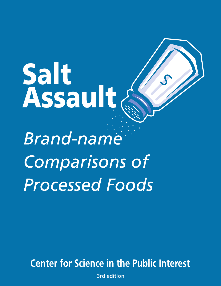Salt<br>Assault S **Brand-name Comparisons of Processed Foods** 

**Center for Science in the Public Interest** 

3rd edition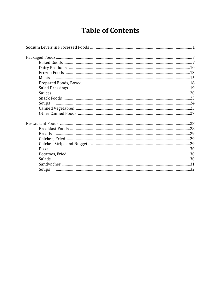# **Table of Contents**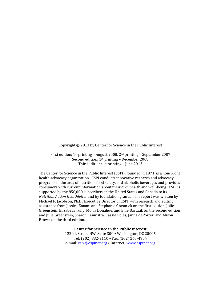Copyright © 2013 by Center for Science in the Public Interest

First edition: 1st printing – August 2008, 2nd printing – September 2007 Second edition: 1st printing – December 2008 Third edition: 1st printing – June 2013

The Center for Science in the Public Interest (CSPI), founded in 1971, is a non-profit health-advocacy organization. CSPI conducts innovative research and advocacy programs in the area of nutrition, food safety, and alcoholic beverages and provides consumers with current information about their own health and well-being. CSPI is supported by the 850,000 subscribers in the United States and Canada to its *Nutrition Action Healthletter* and by foundation grants. This report was written by Michael F. Jacobson, Ph.D., Executive Director of CSPI, with research and editing assistance from Jessica Emami and Stephanie Grasmick on the first edition; Julie Greenstein, Elizabeth Tully, Moira Donahue, and Ellie Barczak on the second edition; and Julie Greenstein, Sharon Cannistra, Cassie Boles, Janna dePorter, and Alison Brown on the third edition.

> **Center for Science in the Public Interest** 1220 L Street, NW, Suite 300 • Washington, DC 20005 Tel: (202) 332-9110 • Fax: (202) 265-4954 e-mail[: cspi@cspinet.org](mailto:cspi@cspinet.org) • Internet: [www.cspinet.org](http://www.cspinet.org/)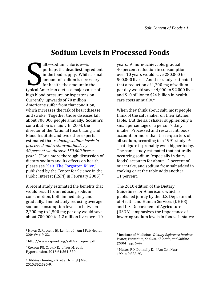## **Sodium Levels in Processed Foods**

alt—sodium chloride—is perhaps the deadliest ingredient in the food supply. While a small amount of sodium is necessary for health, the amount in the typical American diet is a major cause of high blood pressure, or hypertension. Currently, upwards of 70 million Americans suffer from that condition, which increases the risk of heart disease and stroke. Together those diseases kill about 700,000 people annually. Sodium's contribution is major. In 2004, the director of the National Heart, Lung, and Blood Institute and two other experts estimated that *reducing sodium levels in processed and restaurant foods by 50 percent would save 150,000 lives a year*. [1](#page-3-0) (For a more thorough discussion of dietary sodium and its effects on health, please see ["Salt: The Forgotten Killer,](http://cspinet.org/salt/saltreport.pdf)" published by the Center for Science in th[e](#page-3-1)  Public Interest (CSPI) in February 2005). <sup>2</sup> Expiral Andrews

A recent study estimated the benefits that would result from reducing sodium consumption, both immediately and gradually. Immediately reducing average sodium consumption levels to between 2,200 mg to 1,500 mg per day would save about 700,000 to 1.2 million lives over 10

 $\overline{a}$ 

years. A more-achievable, gradual 40 percent reduction in consumption over 10 years would save 280,000 to 500,000 lives.[3](#page-3-2) Another study estimated that a reduction of 1,200 mg of sodium per day would save 44,000 to 92,000 lives and \$10 billion to \$24 billion in healthcare costs annually.[4](#page-3-3)

When they think about salt, most people think of the salt shaker on their kitchen table. But the salt shaker supplies only a small percentage of a person's daily intake. Processed and restaurant foods account for more than three-quarters [of](#page-3-5)  all sodium, according to a 1991 study.[5,](#page-3-4)<sup>6</sup> That figure is probably even higher today. The same study estimated that naturally occurring sodium (especially in dairy foods) accounts for about 12 percent of our intake, and sodium from salt added in cooking or at the table adds another 11 percent.

The 2010 edition of the Dietary Guidelines for Americans, which is published jointly by the U.S. Department of Health and Human Services (DHHS) and U.S. Department of Agriculture (USDA), emphasizes the importance of lowering sodium levels in foods. It states:

<span id="page-3-4"></span><span id="page-3-0"></span><sup>1</sup> Havas S, Roccella EJ, Lenfant C. Am J Pub Health. 2004;94:19-22.

<span id="page-3-1"></span><sup>2</sup> http://www.cspinet.org/salt/saltreport.pdf.

<span id="page-3-5"></span><span id="page-3-2"></span><sup>3</sup> Coxson PG, Cook NR, Joffres M, et al. Hypertension. 2013;61:564-570.

<span id="page-3-3"></span><sup>&</sup>lt;sup>4</sup> Bibbins-Domingo, K, et al. N Engl J Med 2010;362:590-9.

<sup>5</sup> Institute of Medicine. *Dietary Reference Intakes: Water, Potassium, Sodium, Chloride, and Sulfate*. (2004) pp. 6-44.

<sup>6</sup> Mattes RD, Donnelly D. J Am Coll Nutr. 1991;10:383-93.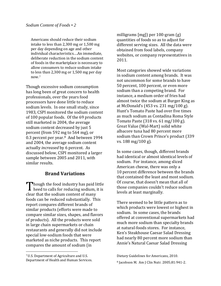Americans should reduce their sodium intake to less than 2,300 mg or 1,500 mg per day depending on age and other individual characteristics.…An immediate, deliberate reduction in the sodium content of foods in the marketplace is necessary to allow consumers to reduce sodium intake to le[ss](#page-4-0) than 2,300 mg or 1,500 mg per day now.7

Though excessive sodium consumption has long been of great concern to health professionals, over the years food processors have done little to reduce sodium levels. In one small study, since 1983, CSPI monitored the sodium content of 100 popular foods. Of the 69 products still marketed in 2004, the average sodium content decreased by just 5 percent (from 592 mg to 564 mg), or 0.3 percent per year.[8](#page-4-1) And between 1994 and 2004, the average sodium content actually *increased* by 6 percent. As discussed below, CSPI monitored a larger sample between 2005 and 2011, with similar results.

## **Brand Variations**

hough the food industry has paid little heed to calls for reducing sodium, it is clear that the sodium content of many foods can be reduced substantially. This report compares different brands of similar products (efforts were made to compare similar sizes, shapes, and flavors of products). All the products were sold in large chain supermarkets or chain restaurants and generally did not include special low-sodium foods that were marketed as niche products. This report compares the amount of sodium (in ' [<br>clea

 $\overline{a}$ 

milligrams [mg]) per 100-gram (g) quantities of foods so as to adjust for different serving sizes. All the data were obtained from food labels, company websites, or company representatives in 2011.

Most categories showed wide variations in sodium content among brands. It was not uncommon for some brands to have 50 percent, 100 percent, or even more sodium than a competing brand. For instance, a medium order of fries had almost twice the sodium at Burger King as at McDonald's (453 vs. 231 mg/100 g). Hunt's Tomato Paste had over five times as much sodium as Contadina Roma Style Tomato Paste (318 vs. 61 mg/100 g). Great Value (Wal-Mart) solid white albacore tuna had 80 percent more sodium than Crown Prince's product (339 vs. 188 mg/100 g).

In some cases, though, different brands had identical or almost identical levels of sodium. For instance, among sliced American cheese, there was only a 10 percent difference between the brands that contained the least and most sodium. Of course, that doesn't mean that all of those companies couldn't reduce sodium levels at least marginally.

There seemed to be little pattern as to which products were lowest or highest in sodium. In some cases, the brands offered at conventional supermarkets had much more sodium than specialty brands at natural-foods stores. For instance, Ken's Steakhouse Caesar Salad Dressing had nearly 80 percent more sodium than Annie's Natural Caesar Salad Dressing

<span id="page-4-1"></span><span id="page-4-0"></span><sup>7</sup>U.S. Department of Agriculture and U.S. Department of Health and Human Services.

Dietary Guidelines for Americans, 2010. <sup>8</sup> Jacobson M. Am J Clin Nutr. 2005;81:941-2.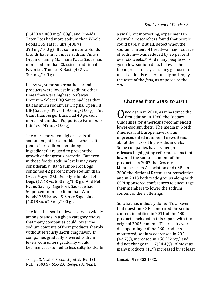(1,433 vs. 800 mg/100g), and Ore-Ida Tater Tots had more sodium than Whole Foods 365 Tater Puffs (488 vs. 393 mg/100 g). But some natural-foods brands have much more sodium: Amy's Organic Family Marinara Pasta Sauce had more sodium than Classico Traditional Favorites Tomato & Basil (472 vs. 304 mg/100 g).

Likewise, some supermarket-brand products were lowest in sodium; other times they were highest. Safeway Premium Select BBQ Sauce had less than half as much sodium as Original Open Pit BBQ Sauce (639 vs. 1,500 mg/100 g). But Giant Hamburger Buns had 40 percent more sodium than Pepperidge Farm buns (488 vs. 349 mg/100 g).

The one time when higher levels of sodium might be tolerable is when salt (and other sodium-containing ingredients) are used to prevent the growth of dangerous bacteria. But even in those foods, sodium levels may vary considerably. Bar S Jumbo Hot Dogs contained 42 percent more sodium than Oscar Mayer XXL Deli Style Jumbo Hot Dogs (1,143 vs. 803 mg/100 g). And Bob Evans Savory Sage Pork Sausage had 50 percent more sodium than Whole Foods' 365 Brown & Serve Sage Links (1,018 vs. 679 mg/100 g).

The fact that sodium levels vary so widely among brands in a given category shows that many companies could lower the sodium contents of their products sharply without seriously sacrificing flavor. If companies gradually lowered sodium levels, consumers gradually would become accustomed to less salty foods. In

 $\overline{a}$ 

#### *Salt Content of Foods • 3*

a small, but interesting, experiment in Australia, researchers found that people could barely, if at all, detect when the sodium content of bread—a major source of sodium—was reduced by 25 percent over six weeks.<sup>9</sup> And many people who go on low-sodium diets to lower their blood pressure say that they get used to unsalted foods rather quickly and enjoy the taste of the *food*, as opposed to the *salt*.

## **Changes from 2005 to 2011**

 $\bigcap$ nce again in 2010, as it has since the first edition in 1980, the Dietary Once again in 2010, as it has since the<br>Guidelines for Americans recommended lower-sodium diets. The media in North America and Europe have run an unprecedented number of news items about the risks of high-sodium diets. Some companies have issued press releases highlighting reformulations that lowered the sodium content of their products. In 2007 the Grocery Manufacturers Association and CSPI, in 2008 the National Restaurant Association, and in 2013 both trade groups along with CSPI sponsored conferences to encourage their members to lower the sodium content of their offerings.

So what has industry done? To answer that question, CSPI compared the sodium content identified in 2011 of the 480 products included in this report with the original 2005 content. The results were disappointing. Of the 480 products monitored, sodium decreased in 205 (42.7%), increased in 158 (32.9%) and did not change in 117(24.4%). Almost as many products (119) increased by at least

Lancet. 1999;353:1332.

<span id="page-5-0"></span><sup>&</sup>lt;sup>9</sup> Girgis S, Neal B, Prescott J, et al. Eur J Clin Nutr. 2003;57:616-20. Rodgers A, Neal B.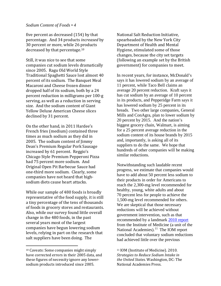#### *Sodium Content of Foods • 4*

five percent as decreased (154) by that percentage. And 34 products *increased* by 30 percent or more, while 26 [pr](#page-6-0)oducts decreased by that percentage. 10

Still, it was nice to see that some companies cut sodium levels dramatically since 2005. Ragu Old World Style Traditional Spaghetti Sauce lost almost 40 percent of its sodium. The Banquet Meal Macaroni and Cheese frozen dinner dropped half of its sodium, both by a 24 percent reduction in milligrams per 100-g serving, as well as a reduction in serving size. And the sodium content of Giant Yellow Deluxe American Cheese slices declined by 31 percent.

On the other hand, in 2011 Hardee's French fries (medium) contained three times as much sodium as they did in 2005. The sodium content of Jimmy Dean's Premium Regular Pork Sausage increased by 61 percent. Reggio's Chicago Style Premium Pepperoni Pizza had 75 percent more sodium. And Original Open Pit Barbecue Sauce had one-third more sodium. Clearly, some companies have not heard that highsodium diets cause heart attacks.

While our sample of 480 foods is broadly representative of the food supply, it is still a tiny percentage of the tens of thousands of foods in grocery stores and restaurants. Also, while our survey found little overall change in the 480 foods, in the past several years most of the largest companies have begun lowering sodium levels, relying in part on the research that salt suppliers have been doing. The

 $\overline{a}$ 

National Salt Reduction Initiative, spearheaded by the New York City Department of Health and Mental Hygiene, stimulated some of those changes, because the city set targets (following an example set by the British government) for companies to meet.

In recent years, for instance, McDonald's says it has lowered sodium by an average of 11 percent, while Taco Bell claims an average 20 percent reduction. Kraft says it has cut sodium by an average of 10 percent in its products, and Pepperidge Farm says it has lowered sodium by 25 percent in its breads. Two other large companies, General Mills and ConAgra, plan to lower sodium by 20 percent by 2015. And the nation's biggest grocery chain, Walmart, is aiming for a 25 percent average reduction in the sodium content of its house brands by 2015 and, importantly, is asking all of its suppliers to do the same. We hope that hundreds of other companies will be making similar reductions.

Notwithstanding such laudable recent progress, we estimate that companies would have to add about 50 percent less sodium to their products in order for Americans to reach the 2,300-mg level recommended for healthy, young, white adults and about 70 percent less for people to achieve the 1,500-mg level recommended for others. We are skeptical that those necessary reductions will be achieved without government intervention, such as that recommended by a landmark [2010 report](http://www.iom.edu/Reports/2010/Strategies-to-Reduce-Sodium-Intake-in-the-United-States.aspx) from the Institute of Medicine (a unit of the National Academies).<sup>[11](#page-6-0)</sup> The IOM report concluded that voluntary sodium reductions had achieved little over the previous

<sup>11</sup> IOM (Institute of Medicine). 2010. *Strategies to Reduce Sodium Intake in the United States.* Washington, DC: The National Academies Press.

<span id="page-6-0"></span><sup>10</sup> Caveats: Some companies might simply have corrected errors in their 2005 data, and these figures of necessity ignore any lowersodium products introduced since 2005.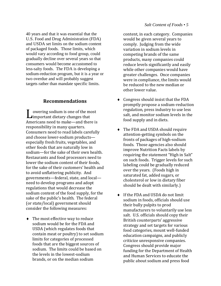40 years and that it was essential that the U.S. Food and Drug Administration (FDA) and USDA set limits on the sodium content of packaged foods. Those limits, which would vary according to food group, could gradually decline over several years so that consumers would become accustomed to less-salty foods. The FDA is developing a sodium-reduction program, but it is a year or two overdue and will probably suggest targets rather than mandate specific limits.

### **Recommendations**

owering sodium is one of the most important dietary changes that Americans need to make—and there is responsibility in many quarters. Consumers need to read labels carefully and choose lower-sodium products especially fresh fruits, vegetables, and other foods that are naturally low in sodium—for the sake of their own health. Restaurants and food processors need to lower the sodium content of their foods, for the sake of their customers' health and to avoid unflattering publicity. And governments—federal, state, and local need to develop programs and adopt regulations that would decrease the sodium content of the food supply, for the sake of the public's health. The federal (or state/local) government should consider the following measures:  $\mathbf{L}$ <br>Am

♦ The most effective way to reduce sodium would be for the FDA and USDA (which regulates foods that contain meat or poultry) to set sodium limits for categories of processed foods that are the biggest sources of sodium. The limits could be based on the levels in the lowest-sodium brands, or on the median sodium

#### *Salt Content of Foods • 5*

content, in each category. Companies would be given several years to comply. Judging from the wide variation in sodium levels in competing brands of the same products, many companies could reduce levels significantly and easily while other companies would have greater challenges. Once companies were in compliance, the limits would be reduced to the new median or other lower value.

- ♦ Congress should insist that the FDA promptly propose a sodium-reduction regulation, press industry to use less salt, and monitor sodium levels in the food supply and in diets.
- ♦ The FDA and USDA should require attention-getting symbols on the fronts of packages of high-sodium foods. Those agencies also should improve Nutrition Facts labels by requiring the statement "High in Salt" on such foods. Trigger levels for such labeling could be gradually reduced over the years. (Foods high in saturated fat, added sugars, or cholesterol or low in dietary fiber should be dealt with similarly.)
- ♦ If the FDA and USDA do not limit sodium in foods, officials should use their bully pulpits to prod manufacturers to voluntarily use less salt. U.S. officials should copy their British counterparts' aggressive strategy and set targets for various food categories, mount well-funded education campaigns, and publicly criticize unresponsive companies. Congress should provide major funding for the Department of Health and Human Services to educate the public about sodium and press food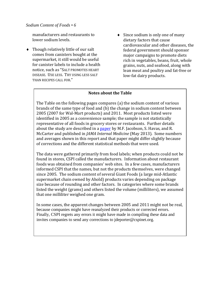#### *Sodium Content of Foods • 6*

manufacturers and restaurants to lower sodium levels.

- ♦ Though relatively little of our salt comes from canisters bought at the supermarket, it still would be useful for canister labels to include a health notice, such as "SALT PROMOTES HEART DISEASE. USE LESS. TRY USING LESS SALT THAN RECIPES CALL FOR."
- $\bullet$  Since sodium is only one of many dietary factors that cause cardiovascular and other diseases, the federal government should sponsor major campaigns to promote diets rich in vegetables, beans, fruit, whole grains, nuts, and seafood, along with lean meat and poultry and fat-free or low-fat dairy products.

### **Notes about the Table**

The Table on the following pages compares (a) the sodium content of various brands of the same type of food and (b) the change in sodium content between 2005 (2007 for Wal-Mart products) and 2011. Most products listed were identified in 2005 as a convenience sample; the sample is not statistically representative of all foods in grocery stores or restaurants. Further details about the study are described in a [paper](http://archinte.jamanetwork.com/article.aspx?articleid=1687516) by M.F. Jacobson, S. Havas, and R. McCarter and published in *JAMA Internal Medicine* (May 2013). Some numbers and averages shown in this report and that paper might differ slightly because of corrections and the different statistical methods that were used.

The data were gathered primarily from food labels; when products could not be found in stores, CSPI called the manufacturers. Information about restaurant foods was obtained from companies' web sites. In a few cases, manufacturers informed CSPI that the names, but not the products themselves, were changed since 2005. The sodium content of several Giant Foods (a large mid-Atlantic supermarket chain owned by Ahold) products varies depending on package size because of rounding and other factors. In categories where some brands listed the weight (grams) and others listed the volume (milliliters), we assumed that one milliliter weighed one gram.

In some cases, the apparent changes between 2005 and 2011 might not be real, because companies might have reanalyzed their products or corrected errors. Finally, CSPI regrets any errors it might have made in compiling these data and invites companies to send any corrections to jdeporter@cspinet.org.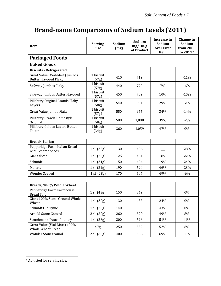## **Brand-name Comparisons of Sodium Levels (2011)**

| <b>Item</b>                                                   | <b>Serving</b><br><b>Size</b> | Sodium<br>(mg) | Sodium<br>mg/100g<br>of Product | Increase in<br>Sodium<br>over First<br><b>Item</b> | Change in<br>Sodium<br>from 2005<br>to 2011* |
|---------------------------------------------------------------|-------------------------------|----------------|---------------------------------|----------------------------------------------------|----------------------------------------------|
| <b>Packaged Foods</b>                                         |                               |                |                                 |                                                    |                                              |
| <b>Baked Goods</b>                                            |                               |                |                                 |                                                    |                                              |
| <b>Biscuits - Refrigerated</b>                                |                               |                |                                 |                                                    |                                              |
| Great Value (Wal-Mart) Jumbos<br><b>Butter Flavored Flaky</b> | 1 biscuit<br>(57g)            | 410            | 719                             |                                                    | $-11%$                                       |
| Safeway Jumbos Flaky                                          | 1 biscuit<br>(57g)            | 440            | 772                             | 7%                                                 | $-6%$                                        |
| Safeway Jumbos Butter Flavored                                | 1 biscuit<br>(57g)            | 450            | 789                             | 10%                                                | $-10%$                                       |
| Pillsbury Original Grands Flaky<br>Layers                     | 1 biscuit<br>(58g)            | 540            | 931                             | 29%                                                | $-2%$                                        |
| Great Value Jumbo Flaky                                       | 1 biscuit<br>(57g)            | 550            | 965                             | 34%                                                | $-14%$                                       |
| Pillsbury Grands Homestyle<br>Original                        | 1 biscuit<br>(58g)            | 580            | 1,000                           | 39%                                                | $-2%$                                        |
| Pillsbury Golden Layers Butter<br>Tastin'                     | 1 biscuit<br>(34g)            | 360            | 1,059                           | 47%                                                | 0%                                           |
|                                                               |                               |                |                                 |                                                    |                                              |
| Breads, Italian                                               |                               |                |                                 |                                                    |                                              |
| Pepperidge Farm Italian Bread<br>with Sesame Seeds            | 1 sl. (32g)                   | 130            | 406                             |                                                    | $-28%$                                       |
| Giant sliced                                                  | 1 sl. (26g)                   | 125            | 481                             | 18%                                                | $-22%$                                       |
| Schmidt                                                       | 1 sl. (31g)                   | 150            | 484                             | 19%                                                | $-24%$                                       |
| Maier's                                                       | 1 sl. (32g)                   | 190            | 594                             | 46%                                                | $-23%$                                       |
| Wonder Seeded                                                 | 1 sl. (28g)                   | 170            | 607                             | 49%                                                | $-6%$                                        |
|                                                               |                               |                |                                 |                                                    |                                              |
| Breads, 100% Whole Wheat                                      |                               |                |                                 |                                                    |                                              |
| Pepperidge Farm Farmhouse<br><b>Bread Soft</b>                | 1 sl. (43g)                   | 150            | 349                             |                                                    | 0%                                           |
| Giant 100% Stone Ground Whole<br>Wheat                        | 1 sl. (30g)                   | 130            | 433                             | 24%                                                | 0%                                           |
| Schmidt Old Tyme                                              | 1 sl. (28g)                   | 140            | 500                             | 43%                                                | 0%                                           |
| Arnold Stone Ground                                           | $2 \,$ sl. $(50g)$            | 260            | 520                             | 49%                                                | 8%                                           |
| <b>Stroehmann Dutch Country</b>                               | 1 sl. (38g)                   | 200            | 526                             | 51%                                                | 11%                                          |
| Great Value (Wal-Mart) 100%<br>Whole Wheat Bread              | 47g                           | 250            | 532                             | 52%                                                | 6%                                           |
| Wonder Stoneground                                            | 2 sl. (68g)                   | 400            | 588                             | 69%                                                | $-1%$                                        |

 $\overline{a}$ 

<span id="page-9-0"></span><sup>\*</sup> Adjusted for serving size.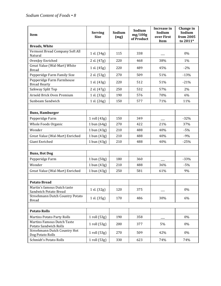| Item                                                     | <b>Serving</b><br><b>Size</b> | Sodium<br>(mg) | Sodium<br>mg/100g<br>of Product | Increase in<br>Sodium<br>over First<br>Item | Change in<br>Sodium<br>from 2005<br>to 2011* |
|----------------------------------------------------------|-------------------------------|----------------|---------------------------------|---------------------------------------------|----------------------------------------------|
| <b>Breads, White</b>                                     |                               |                |                                 |                                             |                                              |
| Vermont Bread Company Soft All<br>Natural                | 1 sl. (34g)                   | 115            | 338                             |                                             | 0%                                           |
| OvenJoy Enriched                                         | 2 sl. (47g)                   | 220            | 468                             | 38%                                         | 1%                                           |
| Great Value (Wal-Mart) White<br><b>Bread</b>             | 1 sl. $(45g)$                 | 220            | 489                             | 45%                                         | $-2%$                                        |
| Pepperidge Farm Family Size                              | 2 sl. (53g)                   | 270            | 509                             | 51%                                         | $-13%$                                       |
| Pepperidge Farm Farmhouse<br><b>Bread Hearty</b>         | 1 sl. (43g)                   | 220            | 512                             | 51%                                         | $-21%$                                       |
| Safeway Split Top                                        | 2 sl. (47g)                   | 250            | 532                             | 57%                                         | 2%                                           |
| Arnold Brick Oven Premium                                | 1 sl. (33g)                   | 190            | 576                             | 70%                                         | 6%                                           |
| Sunbeam Sandwich                                         | 1 sl. (26g)                   | 150            | 577                             | 71%                                         | 11%                                          |
|                                                          |                               |                |                                 |                                             |                                              |
| <b>Buns, Hamburger</b>                                   |                               |                |                                 |                                             |                                              |
| Pepperidge Farm                                          | 1 roll (43g)                  | 150            | 349                             |                                             | $-32%$                                       |
| Whole Foods Organic                                      | 1 bun $(64g)$                 | 270            | 422                             | 21%                                         | 37%                                          |
| Wonder                                                   | 1 bun (43g)                   | 210            | 488                             | 40%                                         | $-5%$                                        |
| Great Value (Wal-Mart) Enriched                          | 1 bun (43g)                   | 210            | 488                             | 40%                                         | $-9%$                                        |
| Giant Enriched                                           | 1 bun (43g)                   | 210            | 488                             | 40%                                         | $-25%$                                       |
|                                                          |                               |                |                                 |                                             |                                              |
| <b>Buns, Hot Dog</b>                                     |                               |                |                                 |                                             |                                              |
| Pepperidge Farm                                          | 1 bun (50g)                   | 180            | 360                             |                                             | $-33%$                                       |
| Wonder                                                   | 1 bun (43g)                   | 210            | 488                             | 36%                                         | $-5%$                                        |
| Great Value (Wal-Mart) Enriched                          | 1 bun (43g)                   | 250            | 581                             | 61%                                         | 9%                                           |
|                                                          |                               |                |                                 |                                             |                                              |
| <b>Potato Bread</b>                                      |                               |                |                                 |                                             |                                              |
| Martin's famous Dutch taste                              | 1 sl. (32g)                   | 120            | 375                             |                                             | 0%                                           |
| Sandwich Potato Bread<br>Stroehmann Dutch Country Potato |                               |                |                                 |                                             |                                              |
| <b>Bread</b>                                             | 1 sl. (35g)                   | 170            | 486                             | 30%                                         | 6%                                           |
|                                                          |                               |                |                                 |                                             |                                              |
| <b>Potato Rolls</b>                                      |                               |                |                                 |                                             |                                              |
| <b>Martins Potato Party Rolls</b>                        | 1 roll (53g)                  | 190            | 358                             |                                             | 0%                                           |
| Martins Famous Dutch Taste                               | $1$ roll $(53g)$              | 200            | 377                             | 5%                                          | 0%                                           |
| Potato Sandwich Rolls<br>Stroehmann Dutch Country Hot    |                               |                |                                 |                                             |                                              |
| Dog Potato Rolls                                         | 1 roll (53g)                  | 270            | 509                             | 42%                                         | 0%                                           |
| Schmidt's Potato Rolls                                   | 1 roll (53g)                  | 330            | 623                             | 74%                                         | 74%                                          |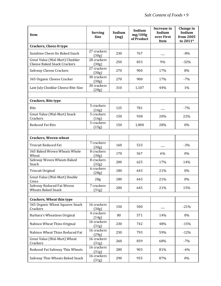| <b>Item</b>                                                          | <b>Serving</b><br><b>Size</b> | Sodium<br>(mg) | Sodium<br>mg/100g<br>of Product | Increase in<br>Sodium<br>over First<br>Item | Change in<br>Sodium<br>from 2005<br>to 2011* |
|----------------------------------------------------------------------|-------------------------------|----------------|---------------------------------|---------------------------------------------|----------------------------------------------|
| <b>Crackers, Cheez-It type</b>                                       |                               |                |                                 |                                             |                                              |
| Sunshine Cheez-Its Baked Snack                                       | 27 crackers<br>(30g)          | 230            | 767                             |                                             | $-8%$                                        |
| Great Value (Wal-Mart) Cheddar<br><b>Cheese Baked Snack Crackers</b> | 28 crackers<br>(30g)          | 250            | 833                             | 9%                                          | $-32%$                                       |
| Safeway Cheese Crackers                                              | 27 crackers<br>(30g)          | 270            | 900                             | 17%                                         | 8%                                           |
| 365 Organic Cheese Cracker                                           | 30 crackers<br>(30g)          | 270            | 900                             | 17%                                         | $-7%$                                        |
| Late July Cheddar Cheese Bite-Size                                   | 30 crackers<br>(28g)          | 310            | 1,107                           | 44%                                         | 1%                                           |
| <b>Crackers, Ritz type</b>                                           |                               |                |                                 |                                             |                                              |
| Ritz                                                                 | 5 crackers<br>(16g)           | 125            | 781                             |                                             | $-7%$                                        |
| Great Value (Wal-Mart) Snack<br>Crackers                             | 5 crackers<br>(16g)           | 150            | 938                             | 20%                                         | 22%                                          |
| <b>Reduced Fat Ritz</b>                                              | 5 crackers<br>(15g)           | 150            | 1,000                           | 28%                                         | 0%                                           |
|                                                                      |                               |                |                                 |                                             |                                              |
| <b>Crackers, Woven-wheat</b>                                         |                               |                |                                 |                                             |                                              |
| <b>Triscuit Reduced Fat</b>                                          | 7 crackers<br>(30g)           | 160            | 533                             |                                             | $-3%$                                        |
| 365 Baked Woven Wheats Whole<br>Wheat                                | 8 crackers<br>(30g)           | 170            | 567                             | 6%                                          | 0%                                           |
| Safeway Woven Wheats Baked<br>Snack                                  | 8 crackers<br>(32g)           | 200            | 625                             | 17%                                         | 14%                                          |
| Triscuit Original                                                    | 6 crackers<br>(28g)           | 180            | 643                             | 21%                                         | 0%                                           |
| Great Value (Wal-Mart) Double<br>Cross                               | 28 <sub>g</sub>               | 180            | 643                             | 21%                                         | 0%                                           |
| Safeway Reduced Fat Woven<br><b>Wheats Baked Snack</b>               | 7 crackers<br>(31g)           | 200            | 645                             | 21%                                         | 15%                                          |
|                                                                      |                               |                |                                 |                                             |                                              |
| <b>Crackers, Wheat thin type</b><br>365 Organic Wheat Squares Snack  | 16 crackers                   |                |                                 |                                             |                                              |
| Crackers                                                             | (30g)                         | 150            | 500                             |                                             | $-21%$                                       |
| Barbara's Wheatines Original                                         | 4 crackers<br>(14g)           | 80             | 571                             | 14%                                         | 0%                                           |
| Nabisco Wheat Thins Original                                         | 16 crackers<br>(31g)          | 230            | 742                             | 48%                                         | $-15%$                                       |
| Nabisco Wheat Thins Reduced Fat                                      | 16 crackers<br>(29g)          | 230            | 793                             | 59%                                         | $-12%$                                       |
| Great Value (Wal-Mart) Wheat<br>Crackers                             | 16 crackers<br>(31g)          | 260            | 839                             | 68%                                         | $-7%$                                        |
| Reduced Fat Safeway Thin Wheats                                      | 16 crackers<br>(31g)          | 280            | 903                             | 81%                                         | $-6%$                                        |
| Safeway Thin Wheats Baked Snack                                      | 16 crackers<br>(31g)          | 290            | 935                             | 87%                                         | 0%                                           |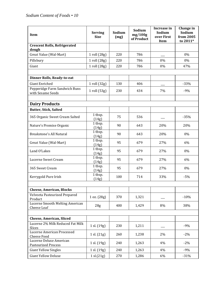| Item                                                  | <b>Serving</b><br><b>Size</b> | Sodium<br>(mg) | Sodium<br>mg/100g<br>of Product | Increase in<br>Sodium<br>over First<br>Item | Change in<br>Sodium<br>from 2005<br>to 2011* |
|-------------------------------------------------------|-------------------------------|----------------|---------------------------------|---------------------------------------------|----------------------------------------------|
| <b>Crescent Rolls, Refrigerated</b><br>dough          |                               |                |                                 |                                             |                                              |
| Great Value (Wal-Mart)                                | 1 roll (28g)                  | 220            | 786                             |                                             | 0%                                           |
| Pillsbury                                             | 1 roll (28g)                  | 220            | 786                             | 0%                                          | 0%                                           |
| Giant                                                 | 1 roll (28g)                  | 220            | 786                             | 0%                                          | 47%                                          |
|                                                       |                               |                |                                 |                                             |                                              |
| Dinner Rolls, Ready-to-eat                            |                               |                |                                 |                                             |                                              |
| <b>Giant Enriched</b>                                 | 1 roll (32g)                  | 130            | 406                             |                                             | $-33%$                                       |
| Pepperidge Farm Sandwich Buns<br>with Sesame Seeds    | 1 roll (53g)                  | 230            | 434                             | 7%                                          | $-9%$                                        |
|                                                       |                               |                |                                 |                                             |                                              |
| <b>Dairy Products</b>                                 |                               |                |                                 |                                             |                                              |
| <b>Butter, Stick, Salted</b>                          |                               |                |                                 |                                             |                                              |
| 365 Organic Sweet Cream Salted                        | 1 tbsp.<br>(14g)              | 75             | 536                             |                                             | $-35%$                                       |
| Nature's Promise Organic                              | 1 tbsp.<br>(14g)              | 90             | 643                             | 20%                                         | 20%                                          |
| Breakstone's All Natural                              | 1 tbsp.<br>(14g)              | 90             | 643                             | 20%                                         | 0%                                           |
| Great Value (Wal-Mart)                                | 1 tbsp.<br>(14g)              | 95             | 679                             | 27%                                         | 6%                                           |
| Land O'Lakes                                          | 1 tbsp.<br>(14g)              | 95             | 679                             | 27%                                         | 0%                                           |
| Lucerne Sweet Cream                                   | 1 tbsp.<br>(14g)              | 95             | 679                             | 27%                                         | 6%                                           |
| 365 Sweet Cream                                       | 1 tbsp.<br>(14g)              | 95             | 679                             | 27%                                         | 0%                                           |
| Kerrygold Pure Irish                                  | 1 tbsp.<br>(14g)              | 100            | 714                             | 33%                                         | $-5%$                                        |
|                                                       |                               |                |                                 |                                             |                                              |
| <b>Cheese, American, Blocks</b>                       |                               |                |                                 |                                             |                                              |
| Velveeta Pasteurized Prepared<br>Product              | 1 oz. (28g)                   | 370            | 1,321                           |                                             | $-10%$                                       |
| Lucerne Smooth Melting American<br>Cheese Loaf        | 28 <sub>g</sub>               | 400            | 1,429                           | 8%                                          | 38%                                          |
|                                                       |                               |                |                                 |                                             |                                              |
| <b>Cheese, American, Sliced</b>                       |                               |                |                                 |                                             |                                              |
| Lucerne 2% Milk Reduced Fat Milk<br>Slices            | 1 sl. (19g)                   | 230            | 1,211                           |                                             | $-9%$                                        |
| Lucerne American Processed<br><b>Cheese Food</b>      | 1 sl. (21g)                   | 260            | 1,238                           | 2%                                          | $-2%$                                        |
| Lucerne Deluxe American<br><b>Pasteurized Process</b> | 1 sl. (19g)                   | 240            | 1,263                           | 4%                                          | $-2%$                                        |
| <b>Giant Yellow Singles</b>                           | 1 sl. (19g)                   | 240            | 1,263                           | 4%                                          | $-9%$                                        |
| <b>Giant Yellow Deluxe</b>                            | 1 sl.(21g)                    | 270            | 1,286                           | 6%                                          | $-31%$                                       |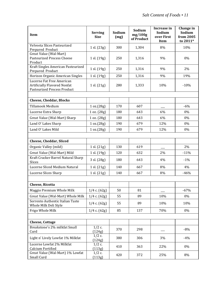| Item                                                                                            | <b>Serving</b><br><b>Size</b> | Sodium<br>(mg) | Sodium<br>mg/100g<br>of Product | Increase in<br>Sodium<br>over First<br>Item | Change in<br>Sodium<br>from 2005<br>to 2011* |
|-------------------------------------------------------------------------------------------------|-------------------------------|----------------|---------------------------------|---------------------------------------------|----------------------------------------------|
| Velveeta Slices Pasteurized<br>Prepared Product                                                 | 1 sl. (23g)                   | 300            | 1,304                           | 8%                                          | 10%                                          |
| Great Value (Wal-Mart)<br><b>Pasteurized Process Cheese</b><br>Product                          | 1 sl. (19g)                   | 250            | 1,316                           | 9%                                          | 0%                                           |
| Kraft Singles American Pasteurized<br>Prepared Product                                          | 1 sl. (19g)                   | 250            | 1,316                           | 9%                                          | 2%                                           |
| Horizon Organic American Singles                                                                | 1 sl. (19g)                   | 250            | 1,316                           | 9%                                          | 19%                                          |
| Lucerne Fat Free American<br>Artificially Flavored Nonfat<br><b>Pasteurized Process Product</b> | 1 sl. (21g)                   | 280            | 1,333                           | 10%                                         | $-10%$                                       |
| <b>Cheese, Cheddar, Blocks</b>                                                                  |                               |                |                                 |                                             |                                              |
| <b>Tillamook Medium</b>                                                                         | 1 oz.(28g)                    | 170            | 607                             |                                             | $-6%$                                        |
| Lucerne Extra Sharp                                                                             | 1 oz. (28g)                   | 180            | 643                             | 6%                                          | 0%                                           |
| Great Value (Wal-Mart) Sharp                                                                    | 1 oz. (28g)                   | 180            | 643                             | 6%                                          | 0%                                           |
| Land O' Lakes Sharp                                                                             | 1 oz.(28g)                    | 190            | 679                             | 12%                                         | 0%                                           |
| Land O' Lakes Mild                                                                              | 1 oz.(28g)                    | 190            | 679                             | 12%                                         | 0%                                           |
|                                                                                                 |                               |                |                                 |                                             |                                              |
| <b>Cheese, Cheddar, Sliced</b>                                                                  |                               |                |                                 |                                             |                                              |
| Organic Valley (mild)                                                                           | 1 sl. (21g)                   | 130            | 619                             |                                             | 2%                                           |
| Great Value (Wal-Mart) Mild                                                                     | 1 sl. (19g)                   | 120            | 632                             | 2%                                          | $-11%$                                       |
| Kraft Cracker Barrel Natural Sharp<br>Slices                                                    | 3 sl. (28g)                   | 180            | 643                             | 4%                                          | $-1%$                                        |
| Lucerne Sliced Medium Natural                                                                   | 1 sl. (21g)                   | 140            | 667                             | 8%                                          | 4%                                           |
| Lucerne Slices Sharp                                                                            | 1 sl. (21g)                   | 140            | 667                             | 8%                                          | $-46%$                                       |
|                                                                                                 |                               |                |                                 |                                             |                                              |
| <b>Cheese, Ricotta</b>                                                                          |                               |                |                                 |                                             |                                              |
| Maggio Premium Whole Milk                                                                       | $1/4$ c. $(62g)$              | 50             | 81                              |                                             | $-67%$                                       |
| Great Value (Wal-Mart) Whole Milk                                                               | $1/4$ c. $(62g)$              | 55             | 89                              | 10%                                         | $0\%$                                        |
| Sorrento Authentic Italian Taste<br>Whole Milk Deli Style                                       | $1/4$ c. $(62g)$              | 55             | 89                              | 10%                                         | 10%                                          |
| Frigo Whole Milk                                                                                | 1/4 c. (62g)                  | 85             | 137                             | 70%                                         | 0%                                           |
|                                                                                                 |                               |                |                                 |                                             |                                              |
| <b>Cheese, Cottage</b>                                                                          |                               |                |                                 |                                             |                                              |
| Breakstone's 2% milkfat Small<br>Curd                                                           | $1/2$ c.<br>(124g)            | 370            | 298                             |                                             | $-8%$                                        |
| Light n' Lively Lowfat 1% Milkfat                                                               | $1/2$ c.<br>(124g)            | 380            | 306                             | 3%                                          | $-4%$                                        |
| Lucerne Lowfat 2% Milkfat<br>Calcium Fortified                                                  | $1/2$ c.<br>(113g)            | 410            | 363                             | 22%                                         | 0%                                           |
| Great Value (Wal-Mart) 1% Lowfat<br>Small Curd                                                  | $1/2$ c.<br>(113g)            | 420            | 372                             | 25%                                         | 8%                                           |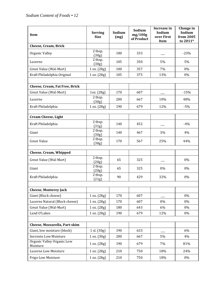| Item                                   | <b>Serving</b><br><b>Size</b> | Sodium<br>(mg) | Sodium<br>mg/100g<br>of Product | Increase in<br>Sodium<br>over First<br>Item | Change in<br>Sodium<br>from 2005<br>to 2011* |
|----------------------------------------|-------------------------------|----------------|---------------------------------|---------------------------------------------|----------------------------------------------|
| <b>Cheese, Cream, Brick</b>            |                               |                |                                 |                                             |                                              |
| Organic Valley                         | 2 tbsp.<br>(30g)              | 100            | 333                             |                                             | $-23%$                                       |
| Lucerne                                | 2 tbsp.<br>(30g)              | 105            | 350                             | 5%                                          | 5%                                           |
| Great Value (Wal-Mart)                 | 1 oz. (28g)                   | 100            | 357                             | 7%                                          | 0%                                           |
| Kraft Philadelphia Original            | 1 oz. (28g)                   | 105            | 375                             | 13%                                         | 0%                                           |
| Cheese, Cream, Fat Free, Brick         |                               |                |                                 |                                             |                                              |
| Great Value (Wal-Mart)                 | 1oz. (28g)                    | 170            | 607                             |                                             | $-15%$                                       |
| Lucerne                                | 2 tbsp.<br>(30g)              | 200            | 667                             | 10%                                         | 48%                                          |
| Kraft Philadelphia                     | 1 oz. (28g)                   | 190            | 679                             | 12%                                         | $-5%$                                        |
| <b>Cream Cheese, Light</b>             |                               |                |                                 |                                             |                                              |
| Kraft Philadelphia                     | 2 tbsp.<br>(31g)              | 140            | 452                             |                                             | $-4%$                                        |
| Giant                                  | 2 tbsp.<br>(30g)              | 140            | 467                             | 3%                                          | 4%                                           |
| <b>Great Value</b>                     | 2 tbsp.<br>(30g)              | 170            | 567                             | 25%                                         | 44%                                          |
| <b>Cheese, Cream, Whipped</b>          |                               |                |                                 |                                             |                                              |
|                                        | 2 tbsp.                       |                |                                 |                                             |                                              |
| Great Value (Wal-Mart)                 | (20g)                         | 65             | 325                             |                                             | 0%                                           |
| Giant                                  | 2 tbsp.<br>(20g)              | 65             | 325                             | 0%                                          | 0%                                           |
| Kraft Philadelphia                     | 2 tbsp.<br>(21g)              | 90             | 429                             | 32%                                         | 0%                                           |
|                                        |                               |                |                                 |                                             |                                              |
| <b>Cheese, Monterey Jack</b>           |                               |                |                                 |                                             |                                              |
| Giant (Block cheese)                   | 1 oz. (28g)                   | 170            | 607                             |                                             | $0\%$                                        |
| Lucerne Natural (Block cheese)         | 1 oz. (28g)                   | 170            | 607                             | 0%                                          | 0%                                           |
| Great Value (Wal-Mart)<br>Land O'Lakes | 1 oz. (28g)                   | 180<br>190     | 643<br>679                      | 6%                                          | 0%<br>$0\%$                                  |
|                                        | 1 oz. (28g)                   |                |                                 | 12%                                         |                                              |
| Cheese, Mozzarella, Part-skim          |                               |                |                                 |                                             |                                              |
| Giant, low moisture (block)            | 1 sl. (30g)                   | 190            | 633                             |                                             | 6%                                           |
| Sorrento Low Moisture                  | 1 oz. (30 g)                  | 200            | 667                             | 5%                                          | 4%                                           |
| Organic Valley Organic Low<br>Moisture | 1 oz. (28g)                   | 190            | 679                             | 7%                                          | 81%                                          |
| Lucerne Low Moisture                   | 1 oz. (28g)                   | 210            | 750                             | 18%                                         | 24%                                          |
| Frigo Low Moisture                     | 1 oz. (28g)                   | 210            | 750                             | 18%                                         | 0%                                           |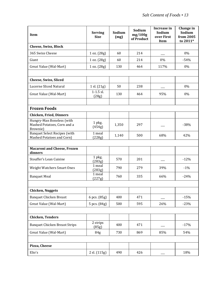| Item                                                                 | <b>Serving</b><br><b>Size</b> | Sodium<br>(mg) | Sodium<br>mg/100g<br>of Product | Increase in<br>Sodium<br>over First<br>Item | Change in<br>Sodium<br>from 2005<br>to 2011* |
|----------------------------------------------------------------------|-------------------------------|----------------|---------------------------------|---------------------------------------------|----------------------------------------------|
| <b>Cheese, Swiss, Block</b>                                          |                               |                |                                 |                                             |                                              |
| 365 Swiss Cheese                                                     | 1 oz. (28g)                   | 60             | 214                             |                                             | 0%                                           |
| Giant                                                                | 1 oz. (28g)                   | 60             | 214                             | 0%                                          | $-54%$                                       |
| Great Value (Wal-Mart)                                               | 1 oz. (28g)                   | 130            | 464                             | 117%                                        | 0%                                           |
|                                                                      |                               |                |                                 |                                             |                                              |
| <b>Cheese, Swiss, Sliced</b>                                         |                               |                |                                 |                                             |                                              |
| <b>Lucerne Sliced Natural</b>                                        | 1 sl. (21g)                   | 50             | 238                             |                                             | 0%                                           |
| Great Value (Wal-Mart)                                               | $1-1.5$ sl.<br>(28g)          | 130            | 464                             | 95%                                         | 0%                                           |
|                                                                      |                               |                |                                 |                                             |                                              |
| <b>Frozen Foods</b>                                                  |                               |                |                                 |                                             |                                              |
| <b>Chicken, Fried, Dinners</b>                                       |                               |                |                                 |                                             |                                              |
| Hungry-Man Boneless (with<br>Mashed Potatoes, Corn and a<br>Brownie) | 1 pkg.<br>(454g)              | 1,350          | 297                             |                                             | $-38%$                                       |
| <b>Banquet Select Recipes (with</b><br>Mashed Potatoes and Corn)     | 1 meal<br>(228g)              | 1,140          | 500                             | 68%                                         | 42%                                          |
| <b>Macaroni and Cheese, Frozen</b><br>dinners                        |                               |                |                                 |                                             |                                              |
| <b>Stouffer's Lean Cuisine</b>                                       | 1 pkg.<br>(283g)              | 570            | 201                             |                                             | $-12%$                                       |
| <b>Weight Watchers Smart Ones</b>                                    | 1 meal<br>(283g)              | 790            | 279                             | 39%                                         | $-1%$                                        |
| <b>Banquet Meal</b>                                                  | 1 meal<br>(227g)              | 760            | 335                             | 66%                                         | $-24%$                                       |
|                                                                      |                               |                |                                 |                                             |                                              |
| <b>Chicken, Nuggets</b>                                              |                               |                |                                 |                                             |                                              |
| <b>Banquet Chicken Breast</b>                                        | 6 pcs. (85g)                  | 400            | 471                             |                                             | $-15%$                                       |
| Great Value (Wal-Mart)                                               | 5 pcs. (84g)                  | 500            | 595                             | 26%                                         | $-23%$                                       |
|                                                                      |                               |                |                                 |                                             |                                              |
| <b>Chicken, Tenders</b>                                              |                               |                |                                 |                                             |                                              |
| <b>Banquet Chicken Breast Strips</b>                                 | 2 strips<br>(85g)             | 400            | 471                             |                                             | $-17%$                                       |
| Great Value (Wal-Mart)                                               | 84g                           | 730            | 869                             | 85%                                         | 54%                                          |
| Pizza, Cheese                                                        |                               |                |                                 |                                             |                                              |
| Elio's                                                               | 2 sl. (115g)                  | 490            | 426                             |                                             | 18%                                          |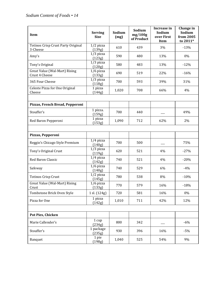| Item                                            | <b>Serving</b><br><b>Size</b> | Sodium<br>(mg) | Sodium<br>mg/100g<br>of Product | Increase in<br>Sodium<br>over First<br>Item | Change in<br>Sodium<br>from 2005<br>to 2011* |
|-------------------------------------------------|-------------------------------|----------------|---------------------------------|---------------------------------------------|----------------------------------------------|
| Totinos Crisp Crust Party Original<br>3-Cheese  | $1/2$ pizza<br>(139g)         | 610            | 439                             | 3%                                          | $-13%$                                       |
| Amy's                                           | $1/3$ pizza<br>(123g)         | 590            | 480                             | 13%                                         | 0%                                           |
| Tony's Original                                 | $1/3$ pizza<br>(120g)         | 580            | 483                             | 13%                                         | $-12%$                                       |
| Great Value (Wal-Mart) Rising<br>Crust 4 Cheese | $1/6$ pizza<br>(133g)         | 690            | 519                             | 22%                                         | $-16%$                                       |
| 365 Four Cheese                                 | $1/3$ pizza<br>(118g)         | 700            | 593                             | 39%                                         | 31%                                          |
| Celeste Pizza for One Original<br>Cheese        | 1 pizza<br>(144g)             | 1,020          | 708                             | 66%                                         | 4%                                           |
| Pizzas, French Bread, Pepperoni                 |                               |                |                                 |                                             |                                              |
| Stouffer's                                      | 1 pizza.<br>(159g)            | 700            | 440                             |                                             | 49%                                          |
| Red Baron Pepperoni                             | 1 pizza<br>(153g)             | 1,090          | 712                             | 62%                                         | 2%                                           |
|                                                 |                               |                |                                 |                                             |                                              |
| Pizzas, Pepperoni                               |                               |                |                                 |                                             |                                              |
| Reggio's Chicago Style Premium                  | $1/4$ pizza<br>(140g)         | 700            | 500                             |                                             | 75%                                          |
| Tony's Original Crust                           | $1/3$ pizza<br>(119g)         | 620            | 521                             | 4%                                          | $-27%$                                       |
| Red Baron Classic                               | $1/4$ pizza<br>(142g)         | 740            | 521                             | 4%                                          | $-20%$                                       |
| Safeway                                         | $1/6$ pizza<br>(140g)         | 740            | 529                             | 6%                                          | $-4%$                                        |
| <b>Totinos Crisp Crust</b>                      | $1/2$ pizza<br>(145g)         | 780            | 538                             | 8%                                          | $-10%$                                       |
| Great Value (Wal-Mart) Rising<br>Crust          | $1/6$ pizza<br>(133g)         | 770            | 579                             | 16%                                         | $-18%$                                       |
| Tombstone Brick Oven Style                      | 1 sl. (124g)                  | 720            | 581                             | 16%                                         | 0%                                           |
| Pizza for One                                   | 1 pizza<br>(142g)             | 1,010          | 711                             | 42%                                         | 12%                                          |
|                                                 |                               |                |                                 |                                             |                                              |
| Pot Pies, Chicken                               |                               |                |                                 |                                             |                                              |
| Marie Callender's                               | 1 cup<br>(234g)               | 800            | 342                             |                                             | $-6%$                                        |
| Stouffer's                                      | 1 package<br>(235g)           | 930            | 396                             | 16%                                         | $-5%$                                        |
| Banquet                                         | 1 pie<br>(198g)               | 1,040          | 525                             | 54%                                         | 9%                                           |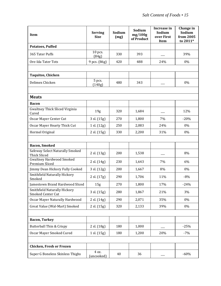| Item                                                   | <b>Serving</b><br><b>Size</b> | Sodium<br>(mg) | Sodium<br>mg/100g<br>of Product | Increase in<br>Sodium<br>over First<br><b>Item</b> | Change in<br>Sodium<br>from 2005<br>to 2011* |
|--------------------------------------------------------|-------------------------------|----------------|---------------------------------|----------------------------------------------------|----------------------------------------------|
| <b>Potatoes, Puffed</b>                                |                               |                |                                 |                                                    |                                              |
| 365 Tater Puffs                                        | 10 pcs.<br>(84g)              | 330            | 393                             |                                                    | 39%                                          |
| Ore-Ida Tater Tots                                     | 9 pcs. (86g)                  | 420            | 488                             | 24%                                                | 0%                                           |
|                                                        |                               |                |                                 |                                                    |                                              |
| <b>Taquitos, Chicken</b>                               |                               |                |                                 |                                                    |                                              |
| Delimex Chicken                                        | 5 pcs.<br>(140g)              | 480            | 343                             |                                                    | 0%                                           |
|                                                        |                               |                |                                 |                                                    |                                              |
| <b>Meats</b>                                           |                               |                |                                 |                                                    |                                              |
| <b>Bacon</b>                                           |                               |                |                                 |                                                    |                                              |
| <b>Gwaltney Thick Sliced Virginia</b><br>Cured         | 19 <sub>g</sub>               | 320            | 1,684                           |                                                    | 12%                                          |
| Oscar Mayer Center Cut                                 | 3 sl. (15g)                   | 270            | 1,800                           | 7%                                                 | $-20%$                                       |
| Oscar Mayer Hearty Thick Cut                           | 1 sl. (12g)                   | 250            | 2,083                           | 24%                                                | 0%                                           |
| Hormel Original                                        | 2 sl. (15g)                   | 330            | 2,200                           | 31%                                                | 0%                                           |
|                                                        |                               |                |                                 |                                                    |                                              |
| <b>Bacon, Smoked</b>                                   |                               |                |                                 |                                                    |                                              |
| Safeway Select Naturally Smoked<br><b>Thick Sliced</b> | 2 sl. (13g)                   | 200            | 1,538                           |                                                    | 8%                                           |
| <b>Gwaltney Hardwood Smoked</b><br>Premium Sliced      | 2 sl. (14g)                   | 230            | 1,643                           | 7%                                                 | 6%                                           |
| Jimmy Dean Hickory Fully Cooked                        | 3 sl. (12g)                   | 200            | 1,667                           | 8%                                                 | 0%                                           |
| Smithfield Naturally Hickory<br>Smoked                 | 2 sl. (17g)                   | 290            | 1,706                           | 11%                                                | $-8%$                                        |
| Jamestown Brand Hardwood Sliced                        | 15 <sub>g</sub>               | 270            | 1,800                           | 17%                                                | $-24%$                                       |
| Smithfield Naturally Hickory<br>Smoked Center Cut      | 3 sl. (15g)                   | 280            | 1,867                           | 21%                                                | 3%                                           |
| Oscar Mayer Naturally Hardwood                         | 2 sl. (14g)                   | 290            | 2,071                           | 35%                                                | $0\%$                                        |
| Great Value (Wal-Mart) Smoked                          | 2 sl. (15g)                   | 320            | 2,133                           | 39%                                                | 0%                                           |
|                                                        |                               |                |                                 |                                                    |                                              |
| <b>Bacon, Turkey</b>                                   |                               |                |                                 |                                                    |                                              |
| Butterball Thin & Crispy                               | 2 sl. (18g)                   | 180            | 1,000                           |                                                    | $-25%$                                       |
| Oscar Mayer Smoked Cured                               | 1 sl. (15g)                   | 180            | 1,200                           | 20%                                                | $-7%$                                        |
|                                                        |                               |                |                                 |                                                    |                                              |
| Chicken, Fresh or Frozen                               |                               |                |                                 |                                                    |                                              |
| Super G Boneless Skinless Thighs                       | 4 oz.<br>(uncooked)           | 40             | 36                              |                                                    | $-60%$                                       |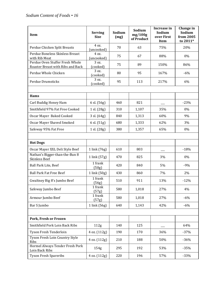| Item                                                                 | <b>Serving</b><br><b>Size</b> | Sodium<br>(mg) | Sodium<br>mg/100g<br>of Product | Increase in<br>Sodium<br>over First<br><b>Item</b> | Change in<br>Sodium<br>from 2005<br>to 2011* |
|----------------------------------------------------------------------|-------------------------------|----------------|---------------------------------|----------------------------------------------------|----------------------------------------------|
| Perdue Chicken Split Breasts                                         | 4 oz.<br>(uncooked)           | 70             | 63                              | 75%                                                | 20%                                          |
| Perdue Boneless Skinless Breast<br>with Rib Meat                     | 4 oz.<br>(uncooked)           | 75             | 67                              | 88%                                                | 0%                                           |
| Perdue Oven Stuffer Fresh Whole<br>Roaster Breast with Ribs and Back | 3 oz.<br>(cooked)             | 75             | 89                              | 150%                                               | 86%                                          |
| Perdue Whole Chicken                                                 | 3 oz.<br>(cooked)             | 80             | 95                              | 167%                                               | $-6%$                                        |
| Perdue Drumsticks                                                    | 3 oz.<br>(cooked)             | 95             | 113                             | 217%                                               | 6%                                           |
| Hams                                                                 |                               |                |                                 |                                                    |                                              |
| Carl Buddig Honey Ham                                                | 6 sl. (56g)                   | 460            | 821                             |                                                    | $-23%$                                       |
| Smithfield 97% Fat Free Cooked                                       | 1 sl. (28g)                   | 310            | 1,107                           | 35%                                                | 0%                                           |
| Oscar Mayer Baked Cooked                                             | 3 sl. (64g)                   | 840            | 1,313                           | 60%                                                | 9%                                           |
| <b>Oscar Mayer Shaved Smoked</b>                                     | 6 sl. (51g)                   | 680            | 1,333                           | 62%                                                | 3%                                           |
| Safeway 95% Fat Free                                                 | 1 sl. (28g)                   | 380            | 1,357                           | 65%                                                | 0%                                           |
|                                                                      |                               |                |                                 |                                                    |                                              |
| <b>Hot Dogs</b>                                                      |                               |                |                                 |                                                    |                                              |
| Oscar Mayer XXL Deli Style Beef                                      | 1 link (76g)                  | 610            | 803                             |                                                    | $-18%$                                       |
| Nathan's Bigger-than-the-Bun 8<br><b>Skinless Beef</b>               | 1 link (57g)                  | 470            | 825                             | 3%                                                 | 0%                                           |
| Ball Park Lite, Beef                                                 | 1 frank<br>(50g)              | 420            | 840                             | 5%                                                 | $-9%$                                        |
| <b>Ball Park Fat Free Beef</b>                                       | 1 link (50g)                  | 430            | 860                             | 7%                                                 | 2%                                           |
| Gwaltney Big 8's Jumbo Beef                                          | 1 frank<br>(56g)              | 510            | 911                             | 13%                                                | $-12%$                                       |
| Safeway Jumbo Beef                                                   | 1 frank<br>(57g)              | 580            | 1,018                           | 27%                                                | 4%                                           |
| Armour Jumbo Beef                                                    | 1 frank<br>(57g)              | 580            | 1,018                           | 27%                                                | $-6%$                                        |
| Bar S Jumbo                                                          | $1$ link $(56g)$              | 640            | 1,143                           | 42%                                                | $-6%$                                        |
|                                                                      |                               |                |                                 |                                                    |                                              |
| Pork, Fresh or Frozen                                                |                               |                |                                 |                                                    |                                              |
| Smithfield Pork Loin Back Ribs                                       | 112g                          | 140            | 125                             |                                                    | 64%                                          |
| Tyson Fresh Tenderloin                                               | 4 oz. (112g)                  | 190            | 170                             | 36%                                                | $-37%$                                       |
| Tyson Fresh Loin Country Style<br>Ribs                               | 4 oz. (112g)                  | 210            | 188                             | 50%                                                | $-36%$                                       |
| Hormel Always Tender Fresh Pork<br>Loin Back Ribs                    | 154g                          | 295            | 192                             | 53%                                                | $-35%$                                       |
| <b>Tyson Fresh Spareribs</b>                                         | 4 oz. (112g)                  | 220            | 196                             | 57%                                                | $-33%$                                       |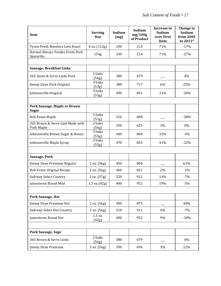| Item                                           | <b>Serving</b><br><b>Size</b>    | Sodium<br>(mg) | Sodium<br>mg/100g<br>of Product | Increase in<br>Sodium<br>over First<br>Item | Change in<br>Sodium<br>from 2005<br>to 2011* |
|------------------------------------------------|----------------------------------|----------------|---------------------------------|---------------------------------------------|----------------------------------------------|
| Tyson Fresh Boneless Loin Roast                | 4 oz. (112g)                     | 240            | 214                             | 71%                                         | $-17%$                                       |
| Hormel Always Tender Fresh Pork<br>Spareribs   | 154g                             | 330            | 214                             | 71%                                         | $-27%$                                       |
|                                                |                                  |                |                                 |                                             |                                              |
| Sausage, Breakfast Links                       |                                  |                |                                 |                                             |                                              |
| 365 Sizzle & Serve Links Pork                  | 2 links<br>(56g)                 | 380            | 679                             |                                             | 0%                                           |
| Jimmy Dean Pork Original                       | 3 links<br>(53g)                 | 380            | 717                             | 6%                                          | 25%                                          |
| Johnsonville Original                          | 3 links<br>(55g)                 | 490            | 891                             | 31%                                         | $-20%$                                       |
|                                                |                                  |                |                                 |                                             |                                              |
| Pork Sausage, Maple or Brown<br><b>Sugar</b>   |                                  |                |                                 |                                             |                                              |
| <b>Bob Evans Maple</b>                         | 3 links<br>(51g)                 | 310            | 608                             |                                             | $-28%$                                       |
| 365 Brown & Serve Link Made with<br>Pork Maple | 2 links<br>(56g)                 | 350            | 625                             | 3%                                          | 0%                                           |
| Johnsonville Brown Sugar & Honey               | 3 links<br>(55g)                 | 440            | 800                             | 32%                                         | $-4%$                                        |
| Johnsonville Maple Syrup                       | 3 links<br>(55g)                 | 470            | 855                             | 41%                                         | $-22%$                                       |
| Sausage, Pork                                  |                                  |                |                                 |                                             |                                              |
| Jimmy Dean Premium Regular                     | 2 oz. (56g)                      | 450            | 804                             |                                             | 61%                                          |
| <b>Bob Evans Original Recipe</b>               | 2 oz. (56g)                      | 460            | 821                             | 2%                                          | $-1%$                                        |
| <b>Safeway Select Country</b>                  | 2 oz. (57g)                      | 520            | 912                             | 14%                                         | $-7%$                                        |
| Jamestown Brand Mild                           | $1.5 \text{ oz.} (42 \text{ g})$ | 400            | 952                             | 19%                                         | $-5%$                                        |
| Pork Sausage, Hot                              |                                  |                |                                 |                                             |                                              |
| Jimmy Dean Premium Hot                         | 2 oz. (56g)                      | 490            | 875                             |                                             | 40%                                          |
| <b>Safeway Select Hot Country</b>              | 2 oz. (56g)                      | 510            | 911                             | 4%                                          | $-7%$                                        |
| Jamestown Brand Hot                            | 1.5 oz.<br>(42g)                 | 400            | 952                             | 9%                                          | $-18%$                                       |
| Pork Sausage, Sage                             |                                  |                |                                 |                                             |                                              |
| 365 Brown & Serve Links                        | 2 links<br>(56g)                 | 380            | 679                             |                                             | 0%                                           |
| Jimmy Dean Premium                             | 2 oz. (56g)                      | 390            | 696                             | 3%                                          | 22%                                          |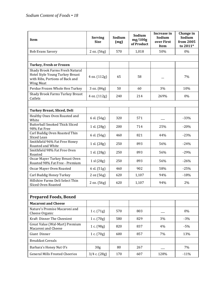| Item                                                                                                               | <b>Serving</b><br><b>Size</b> | Sodium<br>(mg) | Sodium<br>mg/100g<br>of Product | Increase in<br>Sodium<br>over First<br><b>Item</b> | Change in<br>Sodium<br>from 2005<br>to 2011* |
|--------------------------------------------------------------------------------------------------------------------|-------------------------------|----------------|---------------------------------|----------------------------------------------------|----------------------------------------------|
| <b>Bob Evans Savory</b>                                                                                            | 2 oz. (56g)                   | 570            | 1,018                           | 50%                                                | 0%                                           |
|                                                                                                                    |                               |                |                                 |                                                    |                                              |
| <b>Turkey, Fresh or Frozen</b>                                                                                     |                               |                |                                 |                                                    |                                              |
| Shady Brook Farms Fresh Natural<br>Hotel Style Young Turkey Breast<br>with Ribs, Portions of Back and<br>Wing Meat | 4 oz. (112g)                  | 65             | 58                              |                                                    | 7%                                           |
| Perdue Frozen Whole Hen Turkey                                                                                     | 3 oz. (84g)                   | 50             | 60                              | 3%                                                 | 10%                                          |
| <b>Shady Brook Farms Turkey Breast</b><br>Cutlets                                                                  | 4 oz. (112g)                  | 240            | 214                             | 269%                                               | 0%                                           |
| <b>Turkey Breast, Sliced, Deli</b>                                                                                 |                               |                |                                 |                                                    |                                              |
| Healthy Ones Oven Roasted and<br>White                                                                             | 6 sl. (56g)                   | 320            | 571                             |                                                    | $-33%$                                       |
| <b>Butterball Smoked Thick Sliced</b><br>98% Fat Free                                                              | 1 sl. (28g)                   | 200            | 714                             | 25%                                                | $-20%$                                       |
| Carl Buddig Oven Roasted Thin<br>Sliced Lean                                                                       | 6 sl. (56g)                   | 460            | 821                             | 44%                                                | $-23%$                                       |
| Smithfield 96% Fat Free Honey<br>Roasted and White                                                                 | 1 sl. (28g)                   | 250            | 893                             | 56%                                                | $-24%$                                       |
| Smithfield 98% Fat Free Oven<br>Roasted                                                                            | 1 sl. (28g)                   | 250            | 893                             | 56%                                                | $-29%$                                       |
| Oscar Mayer Turkey Breast Oven<br>Roasted 98% Fat Free - Premium                                                   | 1 sl (28g)                    | 250            | 893                             | 56%                                                | $-26%$                                       |
| Oscar Mayer Oven Roasted                                                                                           | 6 sl. (51g)                   | 460            | 902                             | 58%                                                | $-25%$                                       |
| Carl Buddig Honey Turkey                                                                                           | 2 oz (56g)                    | 620            | 1,107                           | 94%                                                | $-18%$                                       |
| Hillshire Farms Deli Select Thin<br>Sliced Oven Roasted                                                            | 2 oz. (56g)                   | 620            | 1,107                           | 94%                                                | 2%                                           |
|                                                                                                                    |                               |                |                                 |                                                    |                                              |
| <b>Prepared Foods, Boxed</b>                                                                                       |                               |                |                                 |                                                    |                                              |
| <b>Macaroni and Cheese</b>                                                                                         |                               |                |                                 |                                                    |                                              |
| Nature's Promise Macaroni and<br>Cheese Organic                                                                    | 1 c. $(71g)$                  | 570            | 803                             |                                                    | 0%                                           |
| Kraft Dinner The Cheesiest                                                                                         | 1 c. $(70g)$                  | 580            | 829                             | 3%                                                 | $-3%$                                        |
| Great Value (Wal-Mart) Premium<br>Macaroni and Cheese                                                              | 1 c. (98g)                    | 820            | 837                             | 4%                                                 | $-5%$                                        |
| Giant Dinner                                                                                                       | 1 c. $(70g)$                  | 600            | 857                             | 7%                                                 | 13%                                          |
| <b>Breakfast Cereals</b>                                                                                           |                               |                |                                 |                                                    |                                              |
| Barbara's Honey Nut O's                                                                                            | 30 <sub>g</sub>               | 80             | 267                             |                                                    | 7%                                           |
| <b>General Mills Frosted Cheerios</b>                                                                              | $3/4$ c. $(28g)$              | 170            | 607                             | 128%                                               | $-11%$                                       |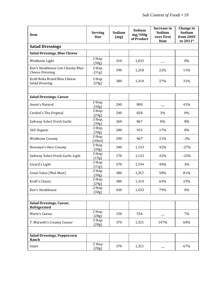| <b>Item</b>                                                 | <b>Serving</b><br><b>Size</b> | Sodium<br>(mg) | Sodium<br>mg/100g<br>of Product | Increase in<br>Sodium<br>over First<br><b>Item</b> | Change in<br>Sodium<br>from 2005<br>to 2011* |
|-------------------------------------------------------------|-------------------------------|----------------|---------------------------------|----------------------------------------------------|----------------------------------------------|
| <b>Salad Dressings</b>                                      |                               |                |                                 |                                                    |                                              |
| <b>Salad Dressings, Blue Cheese</b>                         |                               |                |                                 |                                                    |                                              |
| Wishbone Light                                              | 2 tbsp.<br>(30g)              | 310            | 1,033                           |                                                    | 0%                                           |
| Ken's Steakhouse Lite Chunky Blue<br><b>Cheese Dressing</b> | 2 tbsp.<br>(31g)              | 390            | 1,258                           | 22%                                                | 11%                                          |
| Kraft Roka Brand Blue Cheese<br><b>Salad Dressing</b>       | 2 tbsp.<br>(29g)              | 380            | 1,310                           | 27%                                                | 31%                                          |
| <b>Salad Dressings, Caesar</b>                              |                               |                |                                 |                                                    |                                              |
| Annie's Natural                                             | 2 tbsp.<br>(30g)              | 240            | 800                             |                                                    | 41%                                          |
| Cardini's The Original                                      | 2 tbsp.<br>(29g)              | 240            | 828                             | 3%                                                 | 0%                                           |
| Safeway Select Fresh Garlic                                 | 2 tbsp.<br>(30g)              | 260            | 867                             | 8%                                                 | 8%                                           |
| 365 Organic                                                 | 2 tbsp.<br>(30g)              | 280            | 933                             | 17%                                                | 8%                                           |
| Wishbone Creamy                                             | 2 tbsp.<br>(30ml)             | 290            | 967                             | 21%                                                | $-3%$                                        |
| Newman's Own Creamy                                         | 2 tbsp.<br>(30g)              | 340            | 1,133                           | 42%                                                | $-27%$                                       |
| Safeway Select Fresh Garlic Light                           | 2 tbsp.<br>(15g)              | 170            | 1,133                           | 42%                                                | $-23%$                                       |
| Girard's Light                                              | 2 tbsp.<br>(31g)              | 370            | 1,194                           | 49%                                                | 3%                                           |
| Great Value (Wal-Mart)                                      | 2 tbsp.<br>(30g)              | 380            | 1,267                           | 58%                                                | 81%                                          |
| Kraft's Classic                                             | 2 tbsp.<br>(29g)              | 380            | 1,310                           | 64%                                                | 23%                                          |
| Ken's Steakhouse                                            | 2 tbsp.<br>(30g)              | 430            | 1,433                           | 79%                                                | $0\%$                                        |
| Salad Dressings, Caesar,<br>Refrigerated                    |                               |                |                                 |                                                    |                                              |
| Marie's Caesar                                              | 2 tbsp.<br>(28g)              | 150            | 536                             |                                                    | 7%                                           |
| T. Marzetti's Creamy Caesar                                 | 2 tbsp.<br>(28g)              | 370            | 1,321                           | 147%                                               | 60%                                          |
| <b>Salad Dressings, Peppercorn</b><br>Ranch                 |                               |                |                                 |                                                    |                                              |
| Giant                                                       | 2 tbsp<br>(28g)               | 370            | 1,321                           |                                                    | 67%                                          |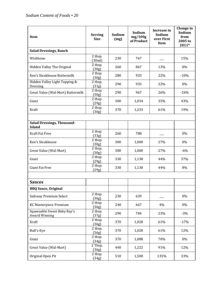| Item                                                | <b>Serving</b><br><b>Size</b> | Sodium<br>(mg) | Sodium<br>mg/100g<br>of Product | Increase in<br>Sodium<br>over First<br>Item | Change in<br>Sodium<br>from<br>2005 to<br>2011* |
|-----------------------------------------------------|-------------------------------|----------------|---------------------------------|---------------------------------------------|-------------------------------------------------|
| <b>Salad Dressings, Ranch</b>                       |                               |                |                                 |                                             |                                                 |
| Wishbone                                            | 2 tbsp.<br>(30ml)             | 230            | 767                             |                                             | 15%                                             |
| Hidden Valley The Original                          | 2 tbsp.<br>(30g)              | 260            | 867                             | 13%                                         | 0%                                              |
| Ken's Steakhouse Buttermilk                         | 2 tbsp.<br>(30g)              | 280            | 933                             | 22%                                         | $-10%$                                          |
| Hidden Valley Light Topping &<br>Dressing           | 2 tbsp.<br>(31g)              | 290            | 935                             | 22%                                         | $0\%$                                           |
| Great Value (Wal-Mart) Buttermilk                   | 2 tbsp.<br>(30g)              | 290            | 967                             | 26%                                         | $-24%$                                          |
| Giant                                               | 2 tbsp.<br>(29g)              | 300            | 1,034                           | 35%                                         | 43%                                             |
| Kraft                                               | 2 tbsp.<br>(30g)              | 370            | 1,233                           | 61%                                         | 19%                                             |
|                                                     |                               |                |                                 |                                             |                                                 |
| <b>Salad Dressings, Thousand-</b><br><b>Island</b>  |                               |                |                                 |                                             |                                                 |
| Kraft Fat Free                                      | 2 tbsp.<br>(33g)              | 260            | 788                             |                                             | 0%                                              |
| Ken's Steakhouse                                    | 2 tbsp.<br>(30g)              | 300            | 1,000                           | 27%                                         | 0%                                              |
| Great Value (Wal-Mart)                              | 2 tbsp.<br>(30g)              | 300            | 1,000                           | 27%                                         | $-6%$                                           |
| Giant                                               | 2 tbsp.<br>(29g)              | 330            | 1,138                           | 44%                                         | 37%                                             |
| <b>Giant Fat Free</b>                               | 2 tbsp.<br>(29g)              | 330            | 1,138                           | 44%                                         | 8%                                              |
|                                                     |                               |                |                                 |                                             |                                                 |
| <b>Sauces</b>                                       |                               |                |                                 |                                             |                                                 |
| <b>BBQ Sauce, Original</b>                          |                               |                |                                 |                                             |                                                 |
| Safeway Premium Select                              | 2 tbsp.<br>(36g)              | 230            | 639                             |                                             | 0%                                              |
| <b>KC Masterpiece Premium</b>                       | 2 tbsp.<br>(36g)              | 240            | 667                             | 4%                                          | 0%                                              |
| Squeezable Sweet Baby Ray's<br><b>Award Winning</b> | 2 tbsp.<br>(37g)              | 290            | 784                             | 23%                                         | $-3%$                                           |
| Kraft                                               | 2 tbsp.<br>(36g)              | 370            | 1,028                           | 61%                                         | $-17%$                                          |
| Bull's-Eye                                          | 2 tbsp.<br>(36g)              | 370            | 1,028                           | 61%                                         | 12%                                             |
| Giant                                               | 2 tbsp.<br>(34g)              | 370            | 1,088                           | 70%                                         | 0%                                              |
| Great Value (Wal-Mart)                              | 2 Tbsp.<br>(36g)              | 440            | 1,222                           | 91%                                         | 12%                                             |
| Original Open Pit                                   | 2 tbsp.<br>(34g)              | 510            | 1,500                           | 135%                                        | 33%                                             |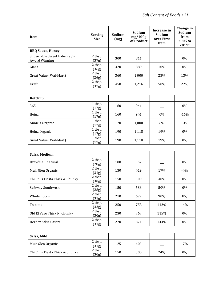| Item                                                | <b>Serving</b><br><b>Size</b> | Sodium<br>(mg) | Sodium<br>mg/100g<br>of Product | Increase in<br>Sodium<br>over First<br>Item | Change in<br>Sodium<br>from<br>2005 to<br>2011* |
|-----------------------------------------------------|-------------------------------|----------------|---------------------------------|---------------------------------------------|-------------------------------------------------|
| <b>BBQ Sauce, Honey</b>                             |                               |                |                                 |                                             |                                                 |
| Squeezable Sweet Baby Ray's<br><b>Award Winning</b> | 2 tbsp.<br>(37g)              | 300            | 811                             |                                             | 0%                                              |
| Giant                                               | 2 tbsp.<br>(36g)              | 320            | 889                             | 10%                                         | 0%                                              |
| Great Value (Wal-Mart)                              | 2 tbsp.<br>(36g)              | 360            | 1,000                           | 23%                                         | 13%                                             |
| Kraft                                               | 2 tbsp.<br>(37g)              | 450            | 1,216                           | 50%                                         | 22%                                             |
| Ketchup                                             |                               |                |                                 |                                             |                                                 |
| 365                                                 | 1 tbsp.<br>(17g)              | 160            | 941                             |                                             | 0%                                              |
| Heinz                                               | 1 tbsp.<br>(17g)              | 160            | 941                             | 0%                                          | $-16%$                                          |
| Annie's Organic                                     | 1 tbsp.<br>(17g)              | 170            | 1,000                           | 6%                                          | 13%                                             |
| Heinz Organic                                       | 1 tbsp.<br>(17g)              | 190            | 1,118                           | 19%                                         | 0%                                              |
| Great Value (Wal-Mart)                              | 1 tbsp.<br>(17g)              | 190            | 1,118                           | 19%                                         | 0%                                              |
| Salsa, Medium                                       |                               |                |                                 |                                             |                                                 |
| Drew's All Natural                                  | 2 tbsp.<br>(28g)              | 100            | 357                             |                                             | 0%                                              |
| Muir Glen Organic                                   | 2 tbsp.<br>(31g)              | 130            | 419                             | 17%                                         | $-4%$                                           |
| Chi Chi's Fiesta Thick & Chunky                     | 2 tbsp.<br>(30g)              | 150            | 500                             | 40%                                         | 0%                                              |
| Safeway Southwest                                   | 2 tbsp.<br>(28g)              | 150            | 536                             | 50%                                         | $0\%$                                           |
| <b>Whole Foods</b>                                  | 2 tbsp.<br>(31g)              | 210            | 677                             | 90%                                         | 8%                                              |
| Tostitos                                            | 2 tbsp.<br>(33g)              | 250            | 758                             | 112%                                        | $-4%$                                           |
| Old El Paso Thick N' Chunky                         | 2 tbsp.<br>(30g)              | 230            | 767                             | 115%                                        | 0%                                              |
| Herdez Salsa Casera                                 | 2 tbsp.<br>(31g)              | 270            | 871                             | 144%                                        | 0%                                              |
|                                                     |                               |                |                                 |                                             |                                                 |
| Salsa, Mild                                         |                               |                |                                 |                                             |                                                 |
| Muir Glen Organic                                   | 2 tbsp.<br>(31g)              | 125            | 403                             |                                             | $-7%$                                           |
| Chi Chi's Fiesta Thick & Chunky                     | 2 tbsp.<br>(30g)              | 150            | 500                             | 24%                                         | $0\%$                                           |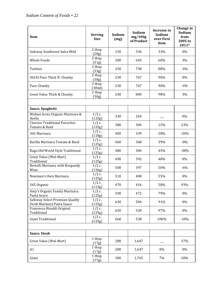| <b>Item</b>                                                  | <b>Serving</b><br><b>Size</b> | Sodium<br>(mg) | Sodium<br>mg/100g<br>of Product | Increase in<br>Sodium<br>over First<br><b>Item</b> | Change in<br>Sodium<br>from<br>2005 to<br>$2011*$ |
|--------------------------------------------------------------|-------------------------------|----------------|---------------------------------|----------------------------------------------------|---------------------------------------------------|
| Safeway Southwest Salsa Mild                                 | 2 tbsp.<br>(28g)              | 150            | 536                             | 33%                                                | 0%                                                |
| <b>Whole Foods</b>                                           | 2 tbsp.<br>(31g)              | 200            | 645                             | 60%                                                | 3%                                                |
| Tostitos                                                     | 2 tbsp.<br>(33g)              | 250            | 758                             | 88%                                                | $-4%$                                             |
| Old El Paso Thick N' Chunky                                  | 2 tbsp.<br>(30g)              | 230            | 767                             | 90%                                                | 0%                                                |
| Pace Chunky                                                  | 2 tbsp.<br>(30ml)             | 230            | 767                             | 90%                                                | $-4%$                                             |
| Great Value Thick & Chunky                                   | 2 tbsp.<br>(30g)              | 240            | 800                             | 98%                                                | 3%                                                |
|                                                              |                               |                |                                 |                                                    |                                                   |
| Sauce, Spaghetti                                             |                               |                |                                 |                                                    |                                                   |
| Walnut Acres Organic Marinara &<br>Herbs                     | $1/2$ c.<br>(125g)            | 330            | 264                             |                                                    | 0%                                                |
| <b>Classico Traditional Favorites</b><br>Tomato & Basil      | $1/2$ c.<br>(125g)            | 380            | 304                             | 15%                                                | 23%                                               |
| 365 Marinara                                                 | $1/2$ c.<br>(118g)            | 400            | 339                             | 28%                                                | $-20%$                                            |
| Barilla Marinara Tomato & Basil                              | $1/2$ c.<br>(125g)            | 460            | 368                             | 39%                                                | $-8%$                                             |
| Ragu Old World Style Traditional                             | $1/2$ c.<br>(125g)            | 480            | 384                             | 45%                                                | $-38%$                                            |
| Great Value (Wal-Mart)<br>Traditional                        | $1/2$ c.<br>(125g)            | 490            | 392                             | 48%                                                | 0%                                                |
| Bertolli Marinara with Burgundy<br>Wine                      | $1/2$ c.<br>(126g)            | 500            | 397                             | 50%                                                | $-6%$                                             |
| Newman's Own Marinara                                        | $1/2$ c.<br>(125g)            | 510            | 408                             | 55%                                                | 0%                                                |
| 365 Organic                                                  | $1/2$ c.<br>(113g)            | 470            | 416                             | 58%                                                | 93%                                               |
| Amy's Organic Family Marinara<br>Pasta Sauce                 | $1/2$ c.<br>(125g)            | 590            | 472                             | 79%                                                | 0%                                                |
| Safeway Select Premium Quality<br>Verdi Marinara Pasta Sauce | $1/2$ c.<br>(125g)            | 630            | 504                             | 91%                                                | 0%                                                |
| Francesco Rinaldi Original<br>Traditional                    | $1/2$ c.<br>(125g)            | 650            | 520                             | 97%                                                | 0%                                                |
| <b>Giant Traditional</b>                                     | $1/2$ c.<br>(125g)            | 660            | 528                             | 100%                                               | $-10%$                                            |
|                                                              |                               |                |                                 |                                                    |                                                   |
| Sauce, Steak                                                 |                               |                |                                 |                                                    |                                                   |
| Great Value (Wal-Mart)                                       | 1 tbsp.<br>(17g)              | 280            | 1,647                           |                                                    | 37%                                               |
| A1                                                           | 1 tbsp.<br>(17g)              | 280            | 1,647                           | 0%                                                 | 0%                                                |
| Giant                                                        | 1 tbsp.<br>(17g)              | 300            | 1,765                           | 7%                                                 | 20%                                               |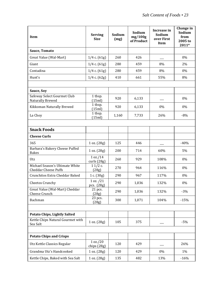| Item                                                           | <b>Serving</b><br><b>Size</b> | Sodium<br>(mg) | Sodium<br>mg/100g<br>of Product | Increase in<br>Sodium<br>over First<br>Item | Change in<br>Sodium<br>from<br>2005 to<br>2011* |
|----------------------------------------------------------------|-------------------------------|----------------|---------------------------------|---------------------------------------------|-------------------------------------------------|
| Sauce, Tomato                                                  |                               |                |                                 |                                             |                                                 |
| Great Value (Wal-Mart)                                         | $1/4$ c. $(61g)$              | 260            | 426                             |                                             | 0%                                              |
| Giant                                                          | $1/4$ c. $(61g)$              | 280            | 459                             | 8%                                          | 2%                                              |
| Contadina                                                      | $1/4$ c. $(61g)$              | 280            | 459                             | 8%                                          | 0%                                              |
| Hunt's                                                         | $1/4$ c. $(62g)$              | 410            | 661                             | 55%                                         | 8%                                              |
| Sauce, Soy                                                     |                               |                |                                 |                                             |                                                 |
| Safeway Select Gourmet Club<br><b>Naturally Brewed</b>         | 1 tbsp.<br>(15ml)             | 920            | 6,133                           |                                             | 0%                                              |
| Kikkoman Naturally Brewed                                      | 1 tbsp.<br>(15ml)             | 920            | 6,133                           | 0%                                          | 0%                                              |
| La Choy                                                        | 1 tbsp.<br>(15ml)             | 1,160          | 7,733                           | 26%                                         | $-8%$                                           |
| <b>Snack Foods</b>                                             |                               |                |                                 |                                             |                                                 |
| <b>Cheese Curls</b>                                            |                               |                |                                 |                                             |                                                 |
| 365                                                            | 1 oz. (28g)                   | 125            | 446                             |                                             | $-40%$                                          |
| Barbara's Bakery Cheese Puffed<br><b>Bakes</b>                 | 1 oz. (28g)                   | 200            | 714                             | 60%                                         | 5%                                              |
| Utz                                                            | 1 oz./14<br>curls (28g)       | 260            | 929                             | 108%                                        | 0%                                              |
| Michael Season's Ultimate White<br><b>Cheddar Cheese Puffs</b> | $11/2c$ .<br>(28g)            | 270            | 964                             | 116%                                        | 0%                                              |
| Crunchitos Extra Cheddar Baked                                 | 1 c. (30g)                    | 290            | 967                             | 117%                                        | 0%                                              |
| Cheetos Crunchy                                                | 1 oz. / 21<br>pcs. (28g)      | 290            | 1,036                           | 132%                                        | 0%                                              |
| Great Value (Wal-Mart) Cheddar<br>Cheese Crunch                | 21 pcs.<br>(28g)              | 290            | 1,036                           | 132%                                        | $-3%$                                           |
| Bachman                                                        | 23 pcs.<br>(28g)              | 300            | 1,071                           | 104%                                        | $-15%$                                          |
|                                                                |                               |                |                                 |                                             |                                                 |
| <b>Potato Chips, Lightly Salted</b>                            |                               |                |                                 |                                             |                                                 |
| Kettle Chips Natural Gourmet with<br>Sea Salt                  | 1 oz. (28g)                   | 105            | 375                             |                                             | $-5%$                                           |
|                                                                |                               |                |                                 |                                             |                                                 |
| <b>Potato Chips and Crisps</b>                                 |                               |                |                                 |                                             |                                                 |
| Utz Kettle Classics Regular                                    | 1 oz./20<br>chips (28g)       | 120            | 429                             |                                             | 26%                                             |
| Grandma Utz's Handcooked                                       | 1 oz. (28g)                   | 120            | 429                             | 0%                                          | 1%                                              |
| Kettle Chips, Baked with Sea Salt                              | 1 oz. (28g)                   | 135            | 482                             | 13%                                         | $-16%$                                          |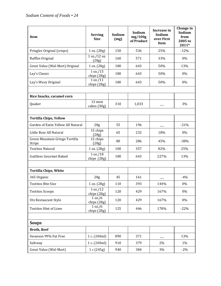| <b>Item</b>                              | <b>Serving</b><br>Size  | Sodium<br>(mg) | Sodium<br>mg/100g<br>of Product | Increase in<br>Sodium<br>over First<br>Item | Change in<br>Sodium<br>from<br>2005 to<br>2011* |
|------------------------------------------|-------------------------|----------------|---------------------------------|---------------------------------------------|-------------------------------------------------|
| Pringles Original (crisps)               | 1 oz. (28g)             | 150            | 536                             | 25%                                         | $-12%$                                          |
| Ruffles Original                         | 1 oz./12 oz.<br>(28g)   | 160            | 571                             | 33%                                         | 0%                                              |
| Great Value (Wal-Mart) Original          | 1 oz. (28g)             | 180            | 643                             | 50%                                         | 13%                                             |
| Lay's Classic                            | 1 oz./15<br>chips (28g) | 180            | 643                             | 50%                                         | 0%                                              |
| Lay's Wavy Original                      | 1 oz./11<br>chips (28g) | 180            | 643                             | 50%                                         | 0%                                              |
| Rice Snacks, caramel corn                |                         |                |                                 |                                             |                                                 |
| Quaker                                   | 13 mini<br>cakes (30g)  | 310            | 1,033                           |                                             | 3%                                              |
| <b>Tortilla Chips, Yellow</b>            |                         |                |                                 |                                             |                                                 |
| Garden of Eatin Yellow All Natural       | 28g                     | 55             | 196                             |                                             | $-21%$                                          |
| Little Bear All Natural                  | 15 chips<br>(28g)       | 65             | 232                             | 18%                                         | 0%                                              |
| Green Mountain Gringo Tortilla<br>Strips | 12 chips<br>(28g)       | 80             | 286                             | 45%                                         | $-38%$                                          |
| <b>Tostitos Natural</b>                  | 1 oz. (28g)             | 100            | 357                             | 82%                                         | 25%                                             |
| <b>Guiltless Gourmet Baked</b>           | 1 oz./18<br>chips (28g) | 180            | 643                             | 227%                                        | 13%                                             |
|                                          |                         |                |                                 |                                             |                                                 |
| <b>Tortilla Chips, White</b>             |                         |                |                                 |                                             |                                                 |
| 365 Organic                              | 28g                     | 45             | 161                             |                                             | $-4%$                                           |
| <b>Tostitos Bite Size</b>                | 1 oz. (28g)             | 110            | 393                             | 144%                                        | 0%                                              |
| <b>Tostitos Scoops</b>                   | 1 oz./12<br>chips (28g) | 120            | 429                             | 167%                                        | 0%                                              |
| Utz Restaurant Style                     | 1 oz./6<br>chips (28g)  | 120            | 429                             | 167%                                        | 0%                                              |
| <b>Tostitos Hint of Lime</b>             | 1 oz./6<br>chips (28g)  | 125            | 446                             | 178%                                        | $-22%$                                          |
|                                          |                         |                |                                 |                                             |                                                 |
| <b>Soups</b>                             |                         |                |                                 |                                             |                                                 |
| <b>Broth, Beef</b>                       |                         |                |                                 |                                             |                                                 |
| Swanson 99% Fat Free                     | 1 c. (240ml)            | 890            | 371                             |                                             | 13%                                             |
| Safeway                                  | 1 c. (240ml)            | 910            | 379                             | 2%                                          | 1%                                              |
| Great Value (Wal-Mart)                   | 1 c (245g)              | 940            | 384                             | 3%                                          | $-2%$                                           |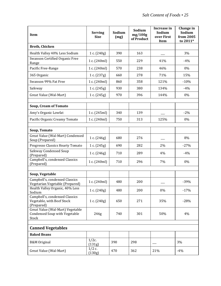| Item                                                                              | <b>Serving</b><br><b>Size</b> | Sodium<br>(mg) | Sodium<br>mg/100g<br>of Product | Increase in<br>Sodium<br>over First<br>Item | Change in<br>Sodium<br>from 2005<br>to 2011* |
|-----------------------------------------------------------------------------------|-------------------------------|----------------|---------------------------------|---------------------------------------------|----------------------------------------------|
| <b>Broth, Chicken</b>                                                             |                               |                |                                 |                                             |                                              |
| Health Valley 40% Less Sodium                                                     | 1 c. $(240g)$                 | 390            | 163                             |                                             | 3%                                           |
| Swanson Certified Organic Free<br>Range                                           | 1 c. (240ml)                  | 550            | 229                             | 41%                                         | $-4%$                                        |
| Pacific Free-Range                                                                | 1 c. (240ml)                  | 570            | 238                             | 46%                                         | 0%                                           |
| 365 Organic                                                                       | 1 c. (237g)                   | 660            | 278                             | 71%                                         | 15%                                          |
| Swanson 99% Fat Free                                                              | 1 c. (240ml)                  | 860            | 358                             | 121%                                        | $-10%$                                       |
| Safeway                                                                           | 1 c. $(245g)$                 | 930            | 380                             | 134%                                        | $-4%$                                        |
| Great Value (Wal-Mart)                                                            | 1 c. $(245g)$                 | 970            | 396                             | 144%                                        | 0%                                           |
| <b>Soup, Cream of Tomato</b>                                                      |                               |                |                                 |                                             |                                              |
| Amy's Organic Lowfat                                                              | 1 c. (245ml)                  | 340            | 139                             |                                             | $-2%$                                        |
| Pacific Organic Creamy Tomato                                                     | 1 c. (240ml)                  | 750            | 313                             | 125%                                        | 0%                                           |
|                                                                                   |                               |                |                                 |                                             |                                              |
| Soup, Tomato                                                                      |                               |                |                                 |                                             |                                              |
| Great Value (Wal-Mart) Condensed<br>Soup (Prepared)                               | 1 c. (246g)                   | 680            | 276                             |                                             | 8%                                           |
| Progresso Classics Hearty Tomato                                                  | 1 c. (245g)                   | 690            | 282                             | 2%                                          | $-27%$                                       |
| Safeway Condensed Soup<br>(Prepared)                                              | 1 c. $(246g)$                 | 710            | 289                             | 4%                                          | $-4%$                                        |
| Campbell's, condensed Classics<br>(Prepared)                                      | 1 c. (240ml)                  | 710            | 296                             | 7%                                          | 0%                                           |
|                                                                                   |                               |                |                                 |                                             |                                              |
| Soup, Vegetable                                                                   |                               |                |                                 |                                             |                                              |
| Campbell's, condensed Classics<br>Vegetarian Vegetable (Prepared)                 | 1 c. (240ml)                  | 480            | 200                             |                                             | $-39%$                                       |
| Health Valley Organic, 40% Less<br>Sodium                                         | 1 c. $(240g)$                 | 480            | 200                             | 0%                                          | $-17%$                                       |
| Campbell's, condensed Classics<br>Vegetable, with Beef Stock<br>(Prepared)        | 1 c. $(240g)$                 | 650            | 271                             | 35%                                         | $-28%$                                       |
| Great Value (Wal-Mart) Vegetable<br><b>Condensed Soup with Vegetable</b><br>Stock | 246g                          | 740            | 301                             | 50%                                         | 4%                                           |
| <b>Canned Vegetables</b>                                                          |                               |                |                                 |                                             |                                              |
| <b>Baked Beans</b>                                                                |                               |                |                                 |                                             |                                              |
| <b>B&amp;M</b> Original                                                           | $1/2c$ .<br>(131g)            | 390            | 298                             |                                             | 3%                                           |
| Great Value (Wal-Mart)                                                            | $1/2$ c.<br>(130g)            | 470            | 362                             | 21%                                         | $-4%$                                        |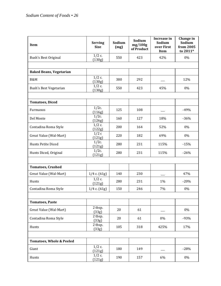| <b>Item</b>                         | <b>Serving</b><br><b>Size</b> | Sodium<br>(mg) | Sodium<br>mg/100g<br>of Product | Increase in<br>Sodium<br>over First<br>Item | Change in<br>Sodium<br>from 2005<br>to 2011* |
|-------------------------------------|-------------------------------|----------------|---------------------------------|---------------------------------------------|----------------------------------------------|
| Bush's Best Original                | $1/2$ c.<br>(130g)            | 550            | 423                             | 42%                                         | $0\%$                                        |
| <b>Baked Beans, Vegetarian</b>      |                               |                |                                 |                                             |                                              |
| B&M                                 | $1/2$ c.<br>(130g)            | 380            | 292                             |                                             | 12%                                          |
| Bush's Best Vegetarian              | $1/2$ c.<br>(130g)            | 550            | 423                             | 45%                                         | 0%                                           |
|                                     |                               |                |                                 |                                             |                                              |
| <b>Tomatoes, Diced</b>              |                               |                |                                 |                                             |                                              |
| Furmanos                            | $1/2c$ .<br>(116g)            | 125            | 108                             |                                             | $-49%$                                       |
| Del Monte                           | $1/2c$ .<br>(126g)            | 160            | 127                             | 18%                                         | $-36%$                                       |
| Contadina Roma Style                | $1/2$ c.<br>(122g)            | 200            | 164                             | 52%                                         | 0%                                           |
| Great Value (Wal-Mart)              | 1/2c<br>(121g)                | 220            | 182                             | 69%                                         | 0%                                           |
| Hunts Petite Diced                  | $1/2c$ .<br>(121g)            | 280            | 231                             | 115%                                        | $-15%$                                       |
| Hunts Diced, Original               | $1/2c$ .<br>(121g)            | 280            | 231                             | 115%                                        | $-26%$                                       |
|                                     |                               |                |                                 |                                             |                                              |
| <b>Tomatoes, Crushed</b>            |                               |                |                                 |                                             |                                              |
| Great Value (Wal-Mart)              | $1/4$ c. $(61g)$              | 140            | 230                             |                                             | 47%                                          |
| Hunts                               | $1/2$ c.<br>(121g)            | 280            | 231                             | 1%                                          | $-20%$                                       |
| Contadina Roma Style                | $1/4$ c. $(61g)$              | 150            | 246                             | 7%                                          | 0%                                           |
|                                     |                               |                |                                 |                                             |                                              |
| <b>Tomatoes, Paste</b>              |                               |                |                                 |                                             |                                              |
| Great Value (Wal-Mart)              | 2 tbsp.<br>(33g)              | 20             | 61                              |                                             | $0\%$                                        |
| Contadina Roma Style                | 2 tbsp.<br>(33g)              | 20             | 61                              | $0\%$                                       | $-93%$                                       |
| Hunts                               | 2 tbsp.<br>(33g)              | 105            | 318                             | 425%                                        | 17%                                          |
|                                     |                               |                |                                 |                                             |                                              |
| <b>Tomatoes, Whole &amp; Peeled</b> |                               |                |                                 |                                             |                                              |
| Giant                               | $1/2$ c.<br>(121g)            | 180            | 149                             |                                             | $-28%$                                       |
| Hunts                               | $1/2$ c.<br>(121g)            | 190            | 157                             | 6%                                          | 0%                                           |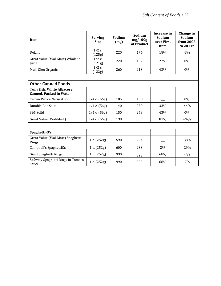| Item                                                         | <b>Serving</b><br><b>Size</b> | Sodium<br>(mg) | Sodium<br>mg/100g<br>of Product | Increase in<br>Sodium<br>over First<br>Item | Change in<br>Sodium<br>from 2005<br>to 2011* |
|--------------------------------------------------------------|-------------------------------|----------------|---------------------------------|---------------------------------------------|----------------------------------------------|
| Delallo                                                      | $1/2$ c.<br>(125g)            | 220            | 176                             | 18%                                         | $-3%$                                        |
| Great Value (Wal-Mart) Whole in<br>Juice                     | $1/2$ c.<br>(121g)            | 220            | 182                             | 22%                                         | $0\%$                                        |
| Muir Glen Organic                                            | $1/2$ c.<br>(122g)            | 260            | 213                             | 43%                                         | 0%                                           |
|                                                              |                               |                |                                 |                                             |                                              |
| <b>Other Canned Foods</b>                                    |                               |                |                                 |                                             |                                              |
| Tuna fish, White Albacore,<br><b>Canned, Packed in Water</b> |                               |                |                                 |                                             |                                              |
| Crown Prince Natural Solid                                   | $1/4$ c. $(56g)$              | 105            | 188                             |                                             | 0%                                           |
| <b>Bumble Bee Solid</b>                                      | $1/4$ c. $(56g)$              | 140            | 250                             | 33%                                         | $-44%$                                       |
| 365 Solid                                                    | $1/4$ c. $(56g)$              | 150            | 268                             | 43%                                         | $0\%$                                        |
| Great Value (Wal-Mart)                                       | $1/4$ c. $(56g)$              | 190            | 339                             | 81%                                         | $-24%$                                       |
|                                                              |                               |                |                                 |                                             |                                              |
| Spaghetti-O's                                                |                               |                |                                 |                                             |                                              |
| Great Value (Wal-Mart) Spaghetti<br>Rings                    | 1 c. $(252g)$                 | 590            | 234                             |                                             | $-38%$                                       |
| Campbell's SpaghettiOs                                       | 1 c. $(252g)$                 | 600            | 238                             | 2%                                          | $-29%$                                       |
| Giant Spaghetti Rings                                        | 1 c. $(252g)$                 | 990            | 393                             | 68%                                         | $-7%$                                        |
| Safeway Spaghetti Rings in Tomato<br>Sauce                   | 1 c. $(252g)$                 | 990            | 393                             | 68%                                         | $-7%$                                        |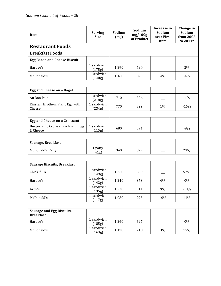| Item                                                 | <b>Serving</b><br><b>Size</b> | Sodium<br>(mg) | Sodium<br>mg/100g<br>of Product | Increase in<br>Sodium<br>over First<br><b>Item</b> | Change in<br>Sodium<br>from 2005<br>to 2011* |
|------------------------------------------------------|-------------------------------|----------------|---------------------------------|----------------------------------------------------|----------------------------------------------|
| <b>Restaurant Foods</b>                              |                               |                |                                 |                                                    |                                              |
| <b>Breakfast Foods</b>                               |                               |                |                                 |                                                    |                                              |
| <b>Egg Bacon and Cheese Biscuit</b>                  |                               |                |                                 |                                                    |                                              |
| Hardee's                                             | 1 sandwich<br>(175g)          | 1,390          | 794                             |                                                    | 2%                                           |
| McDonald's                                           | 1 sandwich<br>(140g)          | 1,160          | 829                             | 4%                                                 | $-4%$                                        |
|                                                      |                               |                |                                 |                                                    |                                              |
| <b>Egg and Cheese on a Bagel</b>                     |                               |                |                                 |                                                    |                                              |
| Au Bon Pain                                          | 1 sandwich<br>(218g)          | 710            | 326                             |                                                    | $-1%$                                        |
| Einstein Brothers Plain, Egg with<br>Cheese          | 1 sandwich<br>(234g)          | 770            | 329                             | 1%                                                 | $-16%$                                       |
|                                                      |                               |                |                                 |                                                    |                                              |
| Egg and Cheese on a Croissant                        |                               |                |                                 |                                                    |                                              |
| Burger King Croissanwich with Egg<br>& Cheese        | 1 sandwich<br>(115g)          | 680            | 591                             |                                                    | $-9%$                                        |
|                                                      |                               |                |                                 |                                                    |                                              |
| Sausage, Breakfast                                   |                               |                |                                 |                                                    |                                              |
| <b>McDonald's Patty</b>                              | 1 patty<br>(41g)              | 340            | 829                             |                                                    | 23%                                          |
|                                                      |                               |                |                                 |                                                    |                                              |
| <b>Sausage Biscuits, Breakfast</b>                   |                               |                |                                 |                                                    |                                              |
| Chick-fil-A                                          | 1 sandwich<br>(149g)          | 1,250          | 839                             |                                                    | 52%                                          |
| Hardee's                                             | 1 sandwich<br>(142g)          | 1,240          | 873                             | 4%                                                 | 0%                                           |
| Arby's                                               | 1 sandwich<br>(135g)          | 1,230          | 911                             | 9%                                                 | $-18%$                                       |
| McDonald's                                           | 1 sandwich<br>(117g)          | 1,080          | 923                             | 10%                                                | 11%                                          |
|                                                      |                               |                |                                 |                                                    |                                              |
| <b>Sausage and Egg Biscuits,</b><br><b>Breakfast</b> |                               |                |                                 |                                                    |                                              |
| Hardee's                                             | 1 sandwich<br>(185g)          | 1,290          | 697                             |                                                    | $0\%$                                        |
| McDonald's                                           | 1 sandwich<br>(163g)          | 1,170          | 718                             | 3%                                                 | 15%                                          |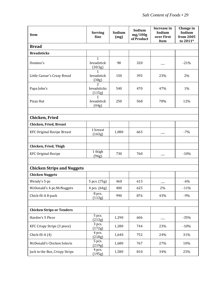| Item                              | <b>Serving</b><br><b>Size</b>           | Sodium<br>(mg) | Sodium<br>mg/100g<br>of Product | Increase in<br>Sodium<br>over First<br><b>Item</b> | Change in<br>Sodium<br>from 2005<br>to 2011* |
|-----------------------------------|-----------------------------------------|----------------|---------------------------------|----------------------------------------------------|----------------------------------------------|
| <b>Bread</b>                      |                                         |                |                                 |                                                    |                                              |
| <b>Breadsticks</b>                |                                         |                |                                 |                                                    |                                              |
| Domino's                          | $\mathbf{1}$<br>breadstick<br>(30.5g)   | 98             | 320                             |                                                    | $-21%$                                       |
| Little Caesar's Crazy Bread       | 1<br>breadstick<br>(38g)                | 150            | 395                             | 23%                                                | 2%                                           |
| Papa John's                       | $\overline{2}$<br>breadsticks<br>(115g) | 540            | 470                             | 47%                                                | 1%                                           |
| Pizza Hut                         | $\mathbf{1}$<br>breadstick<br>(44g)     | 250            | 568                             | 78%                                                | 12%                                          |
|                                   |                                         |                |                                 |                                                    |                                              |
| Chicken, Fried                    |                                         |                |                                 |                                                    |                                              |
| <b>Chicken, Fried, Breast</b>     |                                         |                |                                 |                                                    |                                              |
| <b>KFC Original Recipe Breast</b> | 1 breast<br>(163g)                      | 1,080          | 663                             |                                                    | $-7%$                                        |
| Chicken, Fried, Thigh             |                                         |                |                                 |                                                    |                                              |
| <b>KFC Original Recipe</b>        | 1 thigh<br>(96g)                        | 730            | 760                             |                                                    | $-10%$                                       |
| <b>Chicken Strips and Nuggets</b> |                                         |                |                                 |                                                    |                                              |
| <b>Chicken Nuggets</b>            |                                         |                |                                 |                                                    |                                              |
| Wendy's 5-pc                      | 5 pcs. (75g)                            | 460            | 613                             |                                                    | $-6%$                                        |
| McDonald's 4-pc.McNuggets         | 4 pcs. (64g)                            | 400            | 625                             | $2\%$                                              | $-11%$                                       |
| Chick-fil-A 8-pack                | 8 pcs.<br>(113g)                        | 990            | 876                             | 43%                                                | $-9%$                                        |
| <b>Chicken Strips or Tenders</b>  |                                         |                |                                 |                                                    |                                              |
| Hardee's 5 Piece                  | 5 pcs.<br>(213g)                        | 1,290          | 606                             |                                                    | $-35%$                                       |
| KFC Crispy Strips (3 piece)       | 3 pcs.<br>(172g)                        | 1,280          | 744                             | 23%                                                | $-10%$                                       |
| Chick-fil-A (4)                   | 4 pcs.<br>(218g)                        | 1,640          | 752                             | 24%                                                | 31%                                          |
| McDonald's Chicken Selects        | 5 pcs.<br>(219g)                        | 1,680          | 767                             | 27%                                                | 10%                                          |
| Jack in the Box, Crispy Strips    | 4 pcs.<br>(195g)                        | 1,580          | 810                             | 34%                                                | 25%                                          |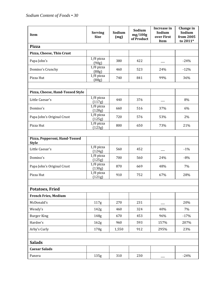| Item                                          | <b>Serving</b><br><b>Size</b> | Sodium<br>(mg) | Sodium<br>mg/100g<br>of Product | Increase in<br>Sodium<br>over First<br>Item | Change in<br>Sodium<br>from 2005<br>to 2011* |  |
|-----------------------------------------------|-------------------------------|----------------|---------------------------------|---------------------------------------------|----------------------------------------------|--|
| <b>Pizza</b>                                  |                               |                |                                 |                                             |                                              |  |
| Pizza, Cheese, Thin Crust                     |                               |                |                                 |                                             |                                              |  |
| Papa John's                                   | $1/8$ pizza<br>(90g)          | 380            | 422                             |                                             | $-24%$                                       |  |
| Domino's Crunchy                              | $1/8$ pizza<br>(88g)          | 460            | 523                             | 24%                                         | $-12%$                                       |  |
| Pizza Hut                                     | $1/8$ pizza<br>(88g)          | 740            | 841                             | 99%                                         | 36%                                          |  |
| Pizza, Cheese, Hand-Tossed Style              |                               |                |                                 |                                             |                                              |  |
| Little Caesar's                               | $1/8$ pizza<br>(117g)         | 440            | 376                             |                                             | 8%                                           |  |
| Domino's                                      | $1/8$ pizza<br>(128g)         | 660            | 516                             | 37%                                         | 6%                                           |  |
| Papa John's Original Crust                    | $1/8$ pizza<br>(125g)         | 720            | 576                             | 53%                                         | 2%                                           |  |
| Pizza Hut                                     | $1/8$ pizza<br>(123g)         | 800            | 650                             | 73%                                         | 21%                                          |  |
| Pizza, Pepperoni, Hand-Tossed<br><b>Style</b> |                               |                |                                 |                                             |                                              |  |
| Little Caesar's                               | $1/8$ pizza<br>(124g)         | 560            | 452                             |                                             | $-1%$                                        |  |
| Domino's                                      | $1/8$ pizza<br>(125g)         | 700            | 560                             | 24%                                         | $-8%$                                        |  |
| Papa John's Original Crust                    | $1/8$ pizza<br>(130g)         | 870            | 669                             | 48%                                         | 7%                                           |  |
| Pizza Hut                                     | $1/8$ pizza<br>(121g)         | 910            | 752                             | 67%                                         | 28%                                          |  |
| <b>Potatoes, Fried</b>                        |                               |                |                                 |                                             |                                              |  |
| <b>French Fries, Medium</b>                   |                               |                |                                 |                                             |                                              |  |
| McDonald's                                    | 117g                          | 270            | 231                             |                                             | 20%                                          |  |
| Wendy's                                       | 142g                          | 460            | 324                             | 40%                                         | 7%                                           |  |
| <b>Burger King</b>                            | 148g                          | 670            | 453                             | 96%                                         | $-17%$                                       |  |
| Hardee's                                      | 162g                          | 960            | 593                             | 157%                                        | 207%                                         |  |
| Arby's Curly                                  | 170 <sub>g</sub>              | 1,550          | 912                             | 295%                                        | 23%                                          |  |
|                                               |                               |                |                                 |                                             |                                              |  |
| <b>Salads</b>                                 |                               |                |                                 |                                             |                                              |  |
| <b>Caesar Salads</b>                          |                               |                |                                 |                                             |                                              |  |
| Panera                                        | 135g                          | 310            | 230                             |                                             | $-24%$                                       |  |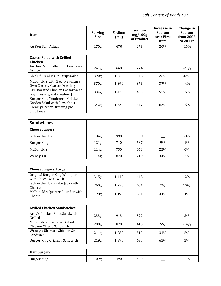| Item                                                                                                        | <b>Serving</b><br><b>Size</b> | Sodium<br>(mg) | Sodium<br>mg/100g<br>of Product | Increase in<br>Sodium<br>over First<br><b>Item</b> | Change in<br>Sodium<br>from 2005<br>to 2011* |
|-------------------------------------------------------------------------------------------------------------|-------------------------------|----------------|---------------------------------|----------------------------------------------------|----------------------------------------------|
| Au Bon Pain Asiago                                                                                          | 170 <sub>g</sub>              | 470            | 276                             | 20%                                                | $-10%$                                       |
| <b>Caesar Salad with Grilled</b><br>Chicken                                                                 |                               |                |                                 |                                                    |                                              |
| Au Bon Pain Grilled Chicken Caesar<br>Asiago                                                                | 241g                          | 660            | 274                             |                                                    | $-21%$                                       |
| Chick-fil-A Chick-'n-Strips Salad                                                                           | 390g                          | 1,350          | 346                             | 26%                                                | 33%                                          |
| McDonald's with 2 oz. Newman's<br>Own Creamy Caesar Dressing                                                | 370g                          | 1,390          | 376                             | 37%                                                | $-4%$                                        |
| KFC Roasted Chicken Caesar Salad<br>(w/ dressing and croutons)                                              | 334g                          | 1,420          | 425                             | 55%                                                | $-5%$                                        |
| Burger King Tendergrill Chicken<br>Garden Salad with 2 oz. Ken's<br>Creamy Caesar Dressing (no<br>croutons) | 342g                          | 1,530          | 447                             | 63%                                                | $-5%$                                        |
| <b>Sandwiches</b>                                                                                           |                               |                |                                 |                                                    |                                              |
| Cheeseburgers                                                                                               |                               |                |                                 |                                                    |                                              |
| Jack in the Box                                                                                             | 184 <sub>g</sub>              | 990            | 538                             |                                                    | $-8%$                                        |
| <b>Burger King</b>                                                                                          | 121g                          | 710            | 587                             | 9%                                                 | 1%                                           |
| McDonald's                                                                                                  | 114g                          | 750            | 658                             | 22%                                                | 6%                                           |
| Wendy's Jr.                                                                                                 | 114g                          | 820            | 719                             | 34%                                                | 15%                                          |
| <b>Cheeseburgers, Large</b>                                                                                 |                               |                |                                 |                                                    |                                              |
| Original Burger King Whopper<br>with Cheese Sandwich                                                        | 315g                          | 1,410          | 448                             |                                                    | $-2%$                                        |
| Jack in the Box Jumbo Jack with<br>Cheese                                                                   | 260g                          | 1,250          | 481                             | 7%                                                 | 13%                                          |
| McDonald's Quarter Pounder with<br>Cheese                                                                   | 198 <sub>g</sub>              | 1,190          | 601                             | 34%                                                | 4%                                           |
|                                                                                                             |                               |                |                                 |                                                    |                                              |
| <b>Grilled Chicken Sandwiches</b>                                                                           |                               |                |                                 |                                                    |                                              |
| Arby's Chicken Fillet Sandwich<br>Grilled                                                                   | 233g                          | 913            | 392                             |                                                    | 3%                                           |
| McDonald's Premium Grilled<br>Chicken Classic Sandwich                                                      | 200 <sub>g</sub>              | 820            | 410                             | 5%                                                 | $-14%$                                       |
| Wendy's Ultimate Chicken Grill<br>Sandwich                                                                  | 211g                          | 1,080          | 512                             | 31%                                                | 5%                                           |
| Burger King Original Sandwich                                                                               | 219g                          | 1,390          | 635                             | 62%                                                | 2%                                           |
| <b>Hamburgers</b>                                                                                           |                               |                |                                 |                                                    |                                              |
| <b>Burger King</b>                                                                                          | 109 <sub>g</sub>              | 490            | 450                             |                                                    | $-1\%$                                       |
|                                                                                                             |                               |                |                                 |                                                    |                                              |